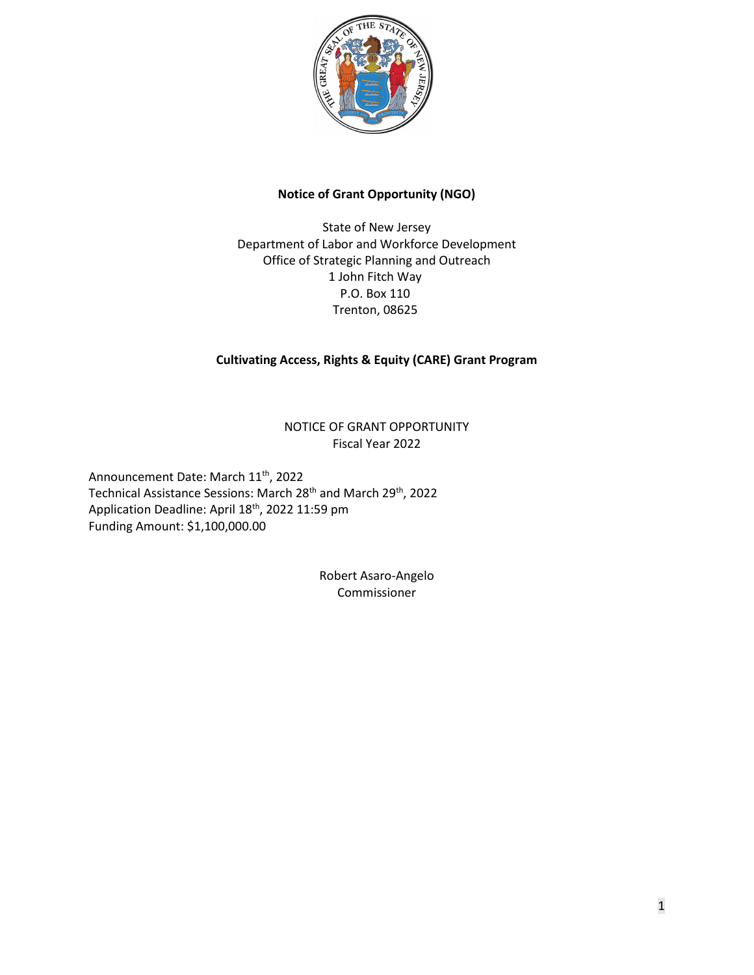

# **Notice of Grant Opportunity (NGO)**

State of New Jersey Department of Labor and Workforce Development Office of Strategic Planning and Outreach 1 John Fitch Way P.O. Box 110 Trenton, 08625

# **Cultivating Access, Rights & Equity (CARE) Grant Program**

NOTICE OF GRANT OPPORTUNITY Fiscal Year 2022

Announcement Date: March 11<sup>th</sup>, 2022 Technical Assistance Sessions: March 28<sup>th</sup> and March 29<sup>th</sup>, 2022 Application Deadline: April 18<sup>th</sup>, 2022 11:59 pm Funding Amount: \$1,100,000.00

> Robert Asaro-Angelo Commissioner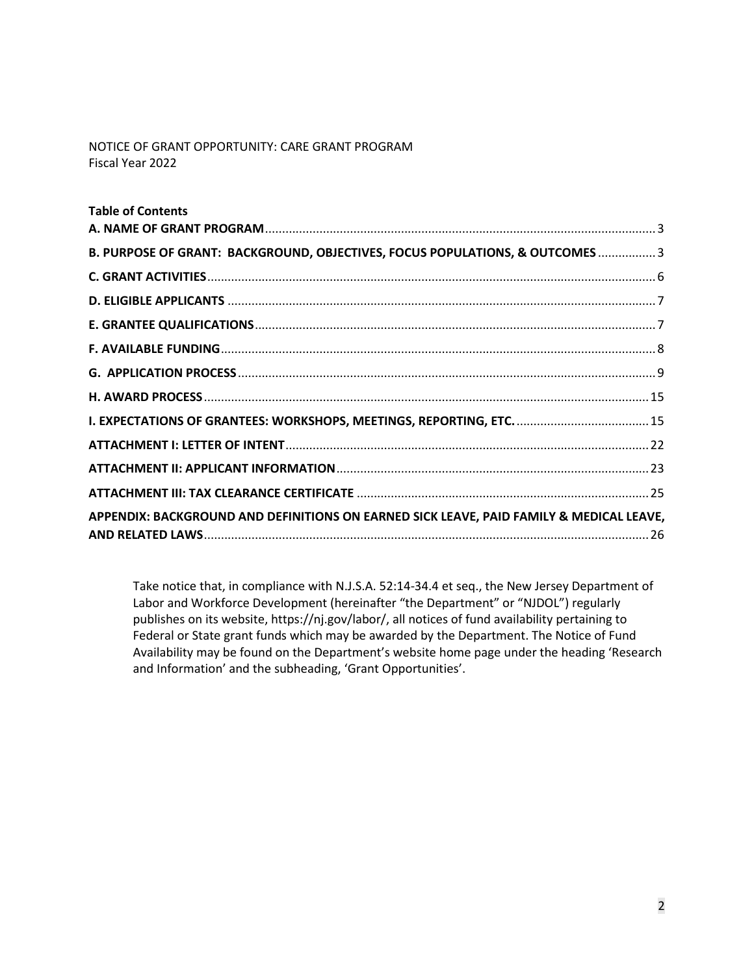NOTICE OF GRANT OPPORTUNITY: CARE GRANT PROGRAM Fiscal Year 2022

| <b>Table of Contents</b>                                                                |  |
|-----------------------------------------------------------------------------------------|--|
|                                                                                         |  |
| B. PURPOSE OF GRANT: BACKGROUND, OBJECTIVES, FOCUS POPULATIONS, & OUTCOMES3             |  |
|                                                                                         |  |
|                                                                                         |  |
|                                                                                         |  |
|                                                                                         |  |
|                                                                                         |  |
|                                                                                         |  |
|                                                                                         |  |
|                                                                                         |  |
|                                                                                         |  |
|                                                                                         |  |
| APPENDIX: BACKGROUND AND DEFINITIONS ON EARNED SICK LEAVE, PAID FAMILY & MEDICAL LEAVE, |  |
|                                                                                         |  |

Take notice that, in compliance with N.J.S.A. 52:14-34.4 et seq., the New Jersey Department of Labor and Workforce Development (hereinafter "the Department" or "NJDOL") regularly publishes on its website, https://nj.gov/labor/, all notices of fund availability pertaining to Federal or State grant funds which may be awarded by the Department. The Notice of Fund Availability may be found on the Department's website home page under the heading 'Research and Information' and the subheading, 'Grant Opportunities'.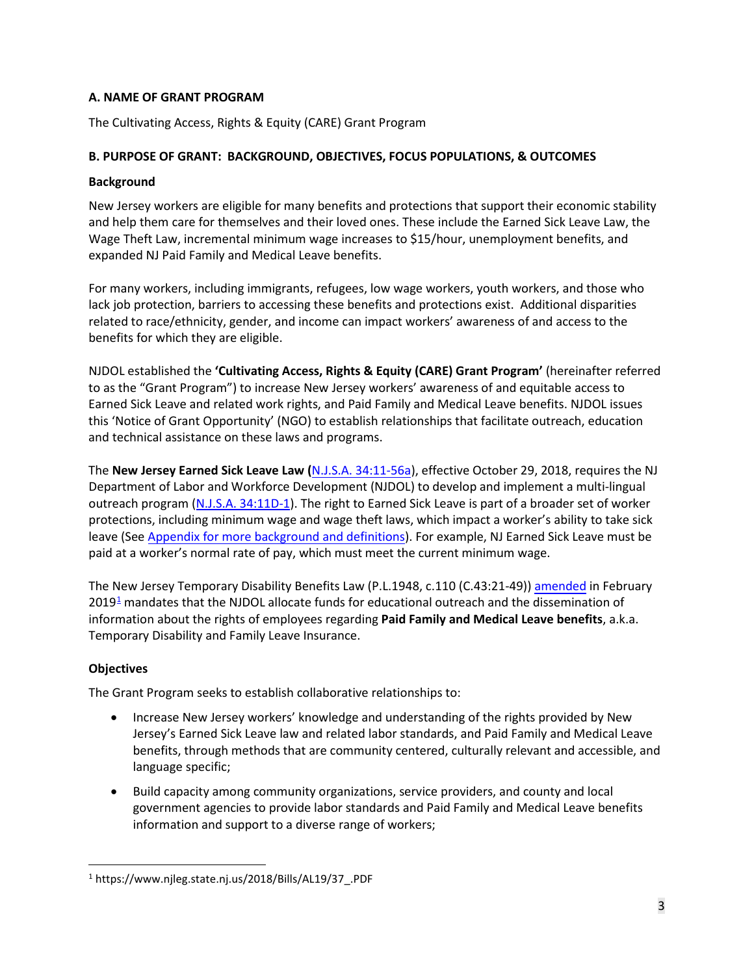# <span id="page-2-0"></span>**A. NAME OF GRANT PROGRAM**

The Cultivating Access, Rights & Equity (CARE) Grant Program

## <span id="page-2-1"></span>**B. PURPOSE OF GRANT: BACKGROUND, OBJECTIVES, FOCUS POPULATIONS, & OUTCOMES**

### **Background**

New Jersey workers are eligible for many benefits and protections that support their economic stability and help them care for themselves and their loved ones. These include the Earned Sick Leave Law, the Wage Theft Law, incremental minimum wage increases to \$15/hour, unemployment benefits, and expanded NJ Paid Family and Medical Leave benefits.

For many workers, including immigrants, refugees, low wage workers, youth workers, and those who lack job protection, barriers to accessing these benefits and protections exist. Additional disparities related to race/ethnicity, gender, and income can impact workers' awareness of and access to the benefits for which they are eligible.

NJDOL established the **'Cultivating Access, Rights & Equity (CARE) Grant Program'** (hereinafter referred to as the "Grant Program") to increase New Jersey workers' awareness of and equitable access to Earned Sick Leave and related work rights, and Paid Family and Medical Leave benefits. NJDOL issues this 'Notice of Grant Opportunity' (NGO) to establish relationships that facilitate outreach, education and technical assistance on these laws and programs.

The **New Jersey Earned Sick Leave Law (**[N.J.S.A. 34:11-56a\)](https://www.nj.gov/labor/wageandhour/tools-resources/laws/wageandhourlaws.shtml#11D-1), effective October 29, 2018, requires the NJ Department of Labor and Workforce Development (NJDOL) to develop and implement a multi-lingual outreach program [\(N.J.S.A. 34:11D-1\)](https://www.nj.gov/labor/wageandhour/tools-resources/laws/wageandhourlaws.shtml#11D-10). The right to Earned Sick Leave is part of a broader set of worker protections, including minimum wage and wage theft laws, which impact a worker's ability to take sick leave (See Appendix for [more background](#page-7-0) and definitions). For example, NJ Earned Sick Leave must be paid at a worker's normal rate of pay, which must meet the current minimum wage.

The New Jersey Temporary Disability Benefits Law (P.L.1948, c.110 (C.43:21-49)) [amended in](https://www.myleavebenefits.nj.gov/labor/myleavebenefits/assets/pdfs/Pamphlet_version_P.L.2019_c.37.pdf) February  $2019<sup>1</sup>$  $2019<sup>1</sup>$  $2019<sup>1</sup>$  $2019<sup>1</sup>$  mandates that the NJDOL allocate funds for educational outreach and the dissemination of information about the rights of employees regarding **Paid Family and Medical Leave benefits**, a.k.a. Temporary Disability and Family Leave Insurance.

# **Objectives**

The Grant Program seeks to establish collaborative relationships to:

- Increase New Jersey workers' knowledge and understanding of the rights provided by New Jersey's Earned Sick Leave law and related labor standards, and Paid Family and Medical Leave benefits, through methods that are community centered, culturally relevant and accessible, and language specific;
- Build capacity among community organizations, service providers, and county and local government agencies to provide labor standards and Paid Family and Medical Leave benefits information and support to a diverse range of workers;

<span id="page-2-2"></span><sup>1</sup> https://www.njleg.state.nj.us/2018/Bills/AL19/37\_.PDF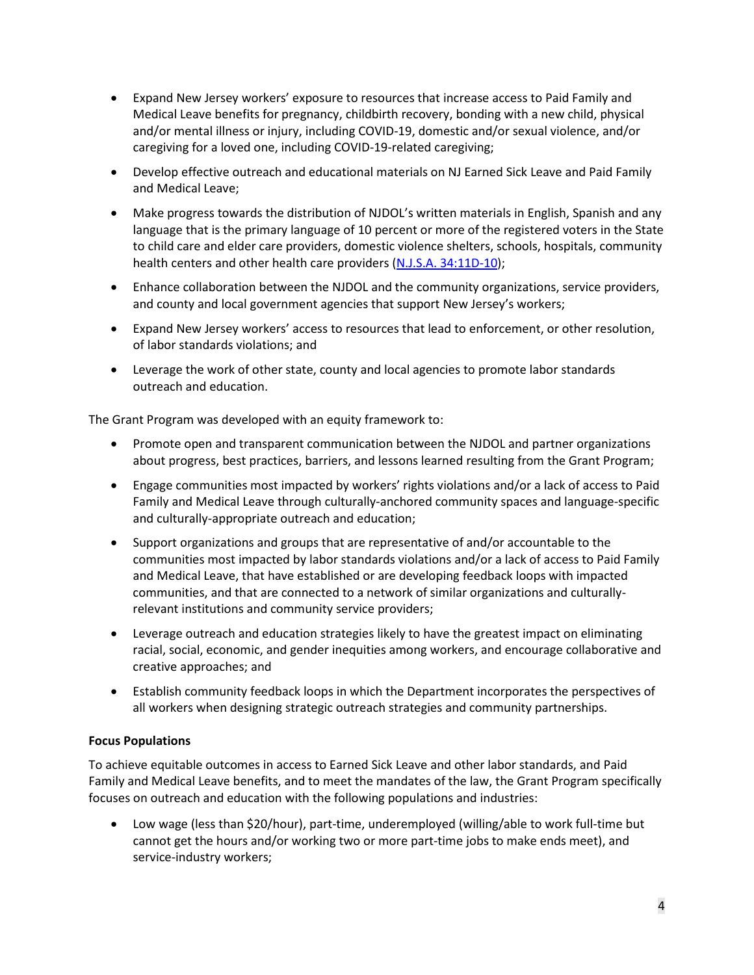- Expand New Jersey workers' exposure to resources that increase access to Paid Family and Medical Leave benefits for pregnancy, childbirth recovery, bonding with a new child, physical and/or mental illness or injury, including COVID-19, domestic and/or sexual violence, and/or caregiving for a loved one, including COVID-19-related caregiving;
- Develop effective outreach and educational materials on NJ Earned Sick Leave and Paid Family and Medical Leave;
- Make progress towards the distribution of NJDOL's written materials in English, Spanish and any language that is the primary language of 10 percent or more of the registered voters in the State to child care and elder care providers, domestic violence shelters, schools, hospitals, community health centers and other health care providers [\(N.J.S.A. 34:11D-10\)](https://www.nj.gov/labor/wageandhour/tools-resources/laws/wageandhourlaws.shtml#11D-10);
- Enhance collaboration between the NJDOL and the community organizations, service providers, and county and local government agencies that support New Jersey's workers;
- Expand New Jersey workers' access to resources that lead to enforcement, or other resolution, of labor standards violations; and
- Leverage the work of other state, county and local agencies to promote labor standards outreach and education.

The Grant Program was developed with an equity framework to:

- Promote open and transparent communication between the NJDOL and partner organizations about progress, best practices, barriers, and lessons learned resulting from the Grant Program;
- Engage communities most impacted by workers' rights violations and/or a lack of access to Paid Family and Medical Leave through culturally-anchored community spaces and language-specific and culturally-appropriate outreach and education;
- Support organizations and groups that are representative of and/or accountable to the communities most impacted by labor standards violations and/or a lack of access to Paid Family and Medical Leave, that have established or are developing feedback loops with impacted communities, and that are connected to a network of similar organizations and culturallyrelevant institutions and community service providers;
- Leverage outreach and education strategies likely to have the greatest impact on eliminating racial, social, economic, and gender inequities among workers, and encourage collaborative and creative approaches; and
- Establish community feedback loops in which the Department incorporates the perspectives of all workers when designing strategic outreach strategies and community partnerships.

# **Focus Populations**

To achieve equitable outcomes in access to Earned Sick Leave and other labor standards, and Paid Family and Medical Leave benefits, and to meet the mandates of the law, the Grant Program specifically focuses on outreach and education with the following populations and industries:

• Low wage (less than \$20/hour), part-time, underemployed (willing/able to work full-time but cannot get the hours and/or working two or more part-time jobs to make ends meet), and service-industry workers;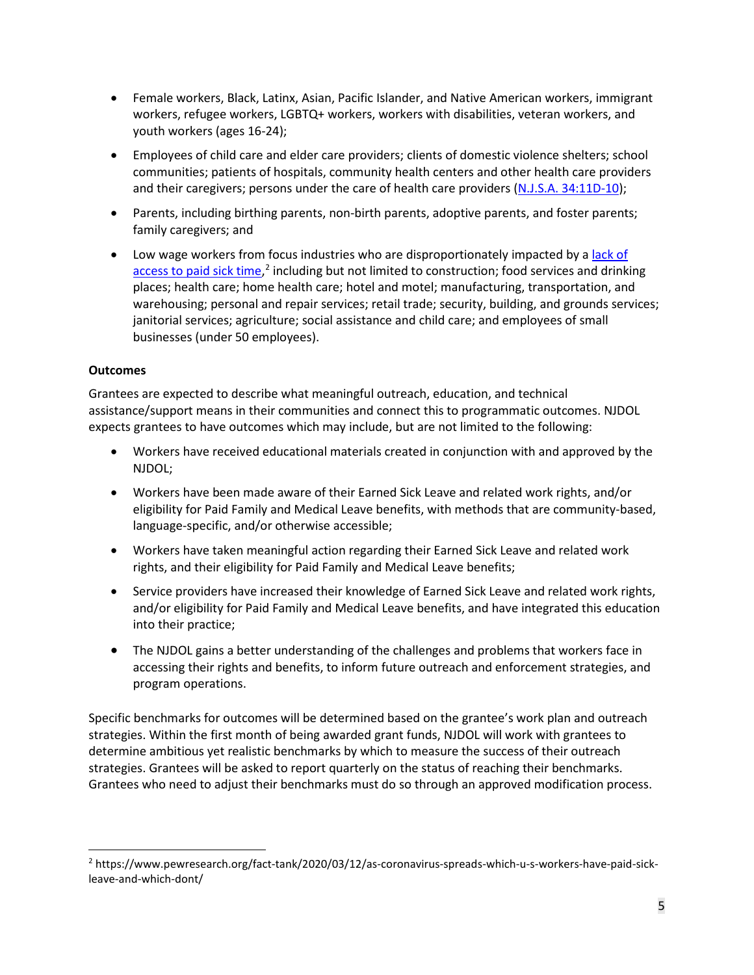- Female workers, Black, Latinx, Asian, Pacific Islander, and Native American workers, immigrant workers, refugee workers, LGBTQ+ workers, workers with disabilities, veteran workers, and youth workers (ages 16-24);
- Employees of child care and elder care providers; clients of domestic violence shelters; school communities; patients of hospitals, community health centers and other health care providers and their caregivers; persons under the care of health care providers [\(N.J.S.A. 34:11D-10\)](https://www.nj.gov/labor/wageandhour/tools-resources/laws/wageandhourlaws.shtml#11D-10);
- Parents, including birthing parents, non-birth parents, adoptive parents, and foster parents; family caregivers; and
- Low wage workers from focus industries who are disproportionately impacted by a [lack of](https://www.pewresearch.org/fact-tank/2020/03/12/as-coronavirus-spreads-which-u-s-workers-have-paid-sick-leave-and-which-dont/) [access to paid sick time,](https://www.pewresearch.org/fact-tank/2020/03/12/as-coronavirus-spreads-which-u-s-workers-have-paid-sick-leave-and-which-dont/)<sup>[2](#page-4-0)</sup> including but not limited to construction; food services and drinking places; health care; home health care; hotel and motel; manufacturing, transportation, and warehousing; personal and repair services; retail trade; security, building, and grounds services; janitorial services; agriculture; social assistance and child care; and employees of small businesses (under 50 employees).

## **Outcomes**

Grantees are expected to describe what meaningful outreach, education, and technical assistance/support means in their communities and connect this to programmatic outcomes. NJDOL expects grantees to have outcomes which may include, but are not limited to the following:

- Workers have received educational materials created in conjunction with and approved by the NJDOL;
- Workers have been made aware of their Earned Sick Leave and related work rights, and/or eligibility for Paid Family and Medical Leave benefits, with methods that are community-based, language-specific, and/or otherwise accessible;
- Workers have taken meaningful action regarding their Earned Sick Leave and related work rights, and their eligibility for Paid Family and Medical Leave benefits;
- Service providers have increased their knowledge of Earned Sick Leave and related work rights, and/or eligibility for Paid Family and Medical Leave benefits, and have integrated this education into their practice;
- The NJDOL gains a better understanding of the challenges and problems that workers face in accessing their rights and benefits, to inform future outreach and enforcement strategies, and program operations.

Specific benchmarks for outcomes will be determined based on the grantee's work plan and outreach strategies. Within the first month of being awarded grant funds, NJDOL will work with grantees to determine ambitious yet realistic benchmarks by which to measure the success of their outreach strategies. Grantees will be asked to report quarterly on the status of reaching their benchmarks. Grantees who need to adjust their benchmarks must do so through an approved modification process.

<span id="page-4-0"></span><sup>2</sup> https://www.pewresearch.org/fact-tank/2020/03/12/as-coronavirus-spreads-which-u-s-workers-have-paid-sickleave-and-which-dont/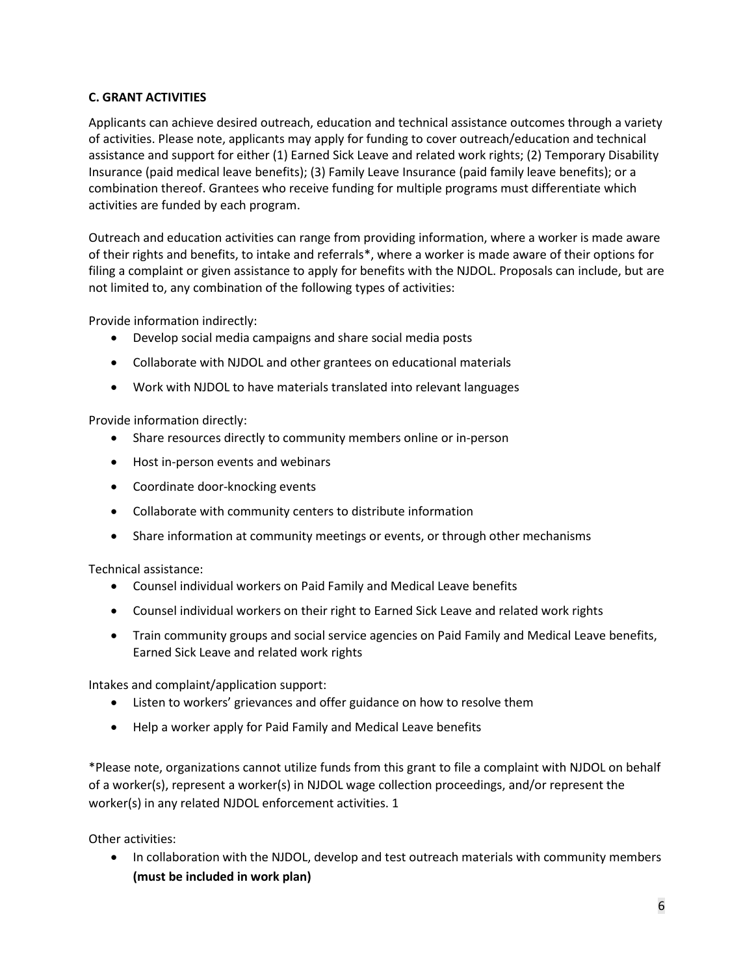# <span id="page-5-0"></span>**C. GRANT ACTIVITIES**

Applicants can achieve desired outreach, education and technical assistance outcomes through a variety of activities. Please note, applicants may apply for funding to cover outreach/education and technical assistance and support for either (1) Earned Sick Leave and related work rights; (2) Temporary Disability Insurance (paid medical leave benefits); (3) Family Leave Insurance (paid family leave benefits); or a combination thereof. Grantees who receive funding for multiple programs must differentiate which activities are funded by each program.

Outreach and education activities can range from providing information, where a worker is made aware of their rights and benefits, to intake and referrals\*, where a worker is made aware of their options for filing a complaint or given assistance to apply for benefits with the NJDOL. Proposals can include, but are not limited to, any combination of the following types of activities:

Provide information indirectly:

- Develop social media campaigns and share social media posts
- Collaborate with NJDOL and other grantees on educational materials
- Work with NJDOL to have materials translated into relevant languages

Provide information directly:

- Share resources directly to community members online or in-person
- Host in-person events and webinars
- Coordinate door-knocking events
- Collaborate with community centers to distribute information
- Share information at community meetings or events, or through other mechanisms

Technical assistance:

- Counsel individual workers on Paid Family and Medical Leave benefits
- Counsel individual workers on their right to Earned Sick Leave and related work rights
- Train community groups and social service agencies on Paid Family and Medical Leave benefits, Earned Sick Leave and related work rights

Intakes and complaint/application support:

- Listen to workers' grievances and offer guidance on how to resolve them
- Help a worker apply for Paid Family and Medical Leave benefits

\*Please note, organizations cannot utilize funds from this grant to file a complaint with NJDOL on behalf of a worker(s), represent a worker(s) in NJDOL wage collection proceedings, and/or represent the worker(s) in any related NJDOL enforcement activities. 1

Other activities:

• In collaboration with the NJDOL, develop and test outreach materials with community members **(must be included in work plan)**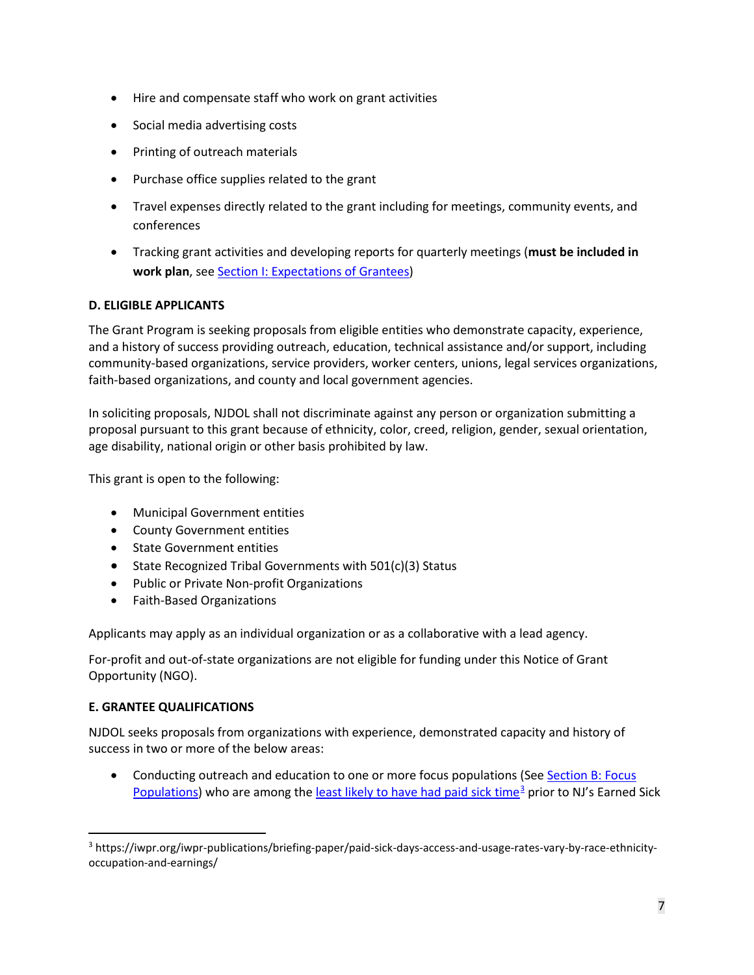- Hire and compensate staff who work on grant activities
- Social media advertising costs
- Printing of outreach materials
- Purchase office supplies related to the grant
- Travel expenses directly related to the grant including for meetings, community events, and conferences
- Tracking grant activities and developing reports for quarterly meetings (**must be included in work plan**, se[e Section I: Expectations of Grantees\)](#page-14-1)

# <span id="page-6-0"></span>**D. ELIGIBLE APPLICANTS**

The Grant Program is seeking proposals from eligible entities who demonstrate capacity, experience, and a history of success providing outreach, education, technical assistance and/or support, including community-based organizations, service providers, worker centers, unions, legal services organizations, faith-based organizations, and county and local government agencies.

In soliciting proposals, NJDOL shall not discriminate against any person or organization submitting a proposal pursuant to this grant because of ethnicity, color, creed, religion, gender, sexual orientation, age disability, national origin or other basis prohibited by law.

This grant is open to the following:

- Municipal Government entities
- County Government entities
- State Government entities
- State Recognized Tribal Governments with 501(c)(3) Status
- Public or Private Non-profit Organizations
- Faith-Based Organizations

Applicants may apply as an individual organization or as a collaborative with a lead agency.

For-profit and out-of-state organizations are not eligible for funding under this Notice of Grant Opportunity (NGO).

# <span id="page-6-1"></span>**E. GRANTEE QUALIFICATIONS**

NJDOL seeks proposals from organizations with experience, demonstrated capacity and history of success in two or more of the below areas:

• Conducting outreach and education to one or more focus populations (See [Section B: Focus](#page-2-1) Populations) who are among the [least likely to have had paid sick time](https://iwpr.org/iwpr-publications/briefing-paper/paid-sick-days-access-and-usage-rates-vary-by-race-ethnicity-occupation-and-earnings/)<sup>[3](#page-6-2)</sup> prior to NJ's Earned Sick

<span id="page-6-2"></span> <sup>3</sup> https://iwpr.org/iwpr-publications/briefing-paper/paid-sick-days-access-and-usage-rates-vary-by-race-ethnicityoccupation-and-earnings/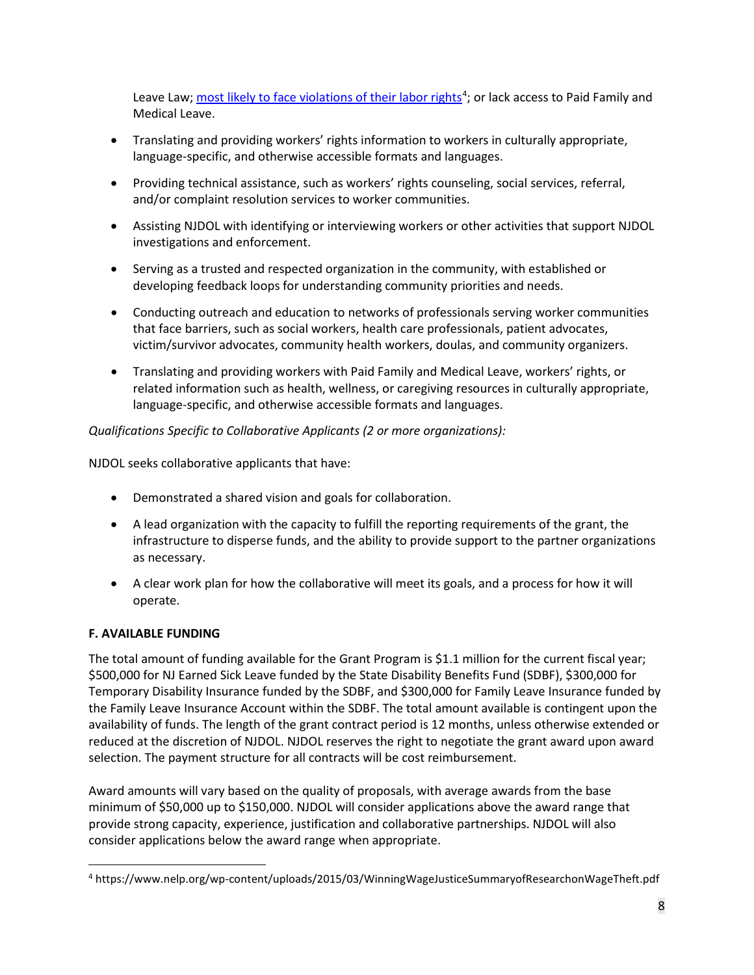Leave Law; [most likely to face violations of their labor rights](https://www.nelp.org/wp-content/uploads/2015/03/WinningWageJusticeSummaryofResearchonWageTheft.pdf)<sup>[4](#page-7-1)</sup>; or lack access to Paid Family and Medical Leave.

- Translating and providing workers' rights information to workers in culturally appropriate, language-specific, and otherwise accessible formats and languages.
- Providing technical assistance, such as workers' rights counseling, social services, referral, and/or complaint resolution services to worker communities.
- Assisting NJDOL with identifying or interviewing workers or other activities that support NJDOL investigations and enforcement.
- Serving as a trusted and respected organization in the community, with established or developing feedback loops for understanding community priorities and needs.
- Conducting outreach and education to networks of professionals serving worker communities that face barriers, such as social workers, health care professionals, patient advocates, victim/survivor advocates, community health workers, doulas, and community organizers.
- Translating and providing workers with Paid Family and Medical Leave, workers' rights, or related information such as health, wellness, or caregiving resources in culturally appropriate, language-specific, and otherwise accessible formats and languages.

*Qualifications Specific to Collaborative Applicants (2 or more organizations):*

NJDOL seeks collaborative applicants that have:

- Demonstrated a shared vision and goals for collaboration.
- A lead organization with the capacity to fulfill the reporting requirements of the grant, the infrastructure to disperse funds, and the ability to provide support to the partner organizations as necessary.
- A clear work plan for how the collaborative will meet its goals, and a process for how it will operate.

# <span id="page-7-0"></span>**F. AVAILABLE FUNDING**

The total amount of funding available for the Grant Program is \$1.1 million for the current fiscal year; \$500,000 for NJ Earned Sick Leave funded by the State Disability Benefits Fund (SDBF), \$300,000 for Temporary Disability Insurance funded by the SDBF, and \$300,000 for Family Leave Insurance funded by the Family Leave Insurance Account within the SDBF. The total amount available is contingent upon the availability of funds. The length of the grant contract period is 12 months, unless otherwise extended or reduced at the discretion of NJDOL. NJDOL reserves the right to negotiate the grant award upon award selection. The payment structure for all contracts will be cost reimbursement.

Award amounts will vary based on the quality of proposals, with average awards from the base minimum of \$50,000 up to \$150,000. NJDOL will consider applications above the award range that provide strong capacity, experience, justification and collaborative partnerships. NJDOL will also consider applications below the award range when appropriate.

<span id="page-7-1"></span> <sup>4</sup> https://www.nelp.org/wp-content/uploads/2015/03/WinningWageJusticeSummaryofResearchonWageTheft.pdf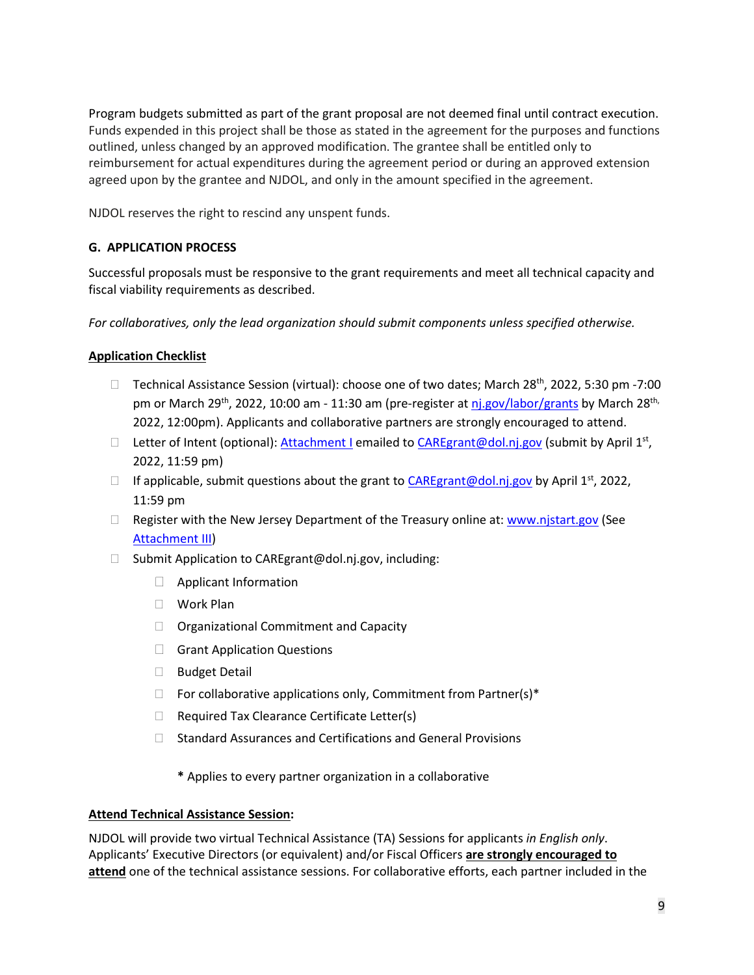Program budgets submitted as part of the grant proposal are not deemed final until contract execution. Funds expended in this project shall be those as stated in the agreement for the purposes and functions outlined, unless changed by an approved modification. The grantee shall be entitled only to reimbursement for actual expenditures during the agreement period or during an approved extension agreed upon by the grantee and NJDOL, and only in the amount specified in the agreement.

NJDOL reserves the right to rescind any unspent funds.

# <span id="page-8-0"></span>**G. APPLICATION PROCESS**

Successful proposals must be responsive to the grant requirements and meet all technical capacity and fiscal viability requirements as described.

*For collaboratives, only the lead organization should submit components unless specified otherwise.*

### **Application Checklist**

- □ Technical Assistance Session (virtual): choose one of two dates; March  $28^{th}$ , 2022, 5:30 pm -7:00 pm or March 29<sup>th</sup>, 2022, 10:00 am - 11:30 am (pre-register at ni.gov/labor/grants by March 28<sup>th,</sup> 2022, 12:00pm). Applicants and collaborative partners are strongly encouraged to attend.
- D Letter of Intent (optional): [Attachment I](#page-21-0) emailed to [CAREgrant@dol.nj.gov](mailto:CAREgrant@dol.nj.gov) (submit by April 1st, 2022, 11:59 pm)
- If applicable, submit questions about the grant to [CAREgrant@dol.nj.gov](mailto:CAREgrant@dol.nj.gov) by April 1<sup>st</sup>, 2022, 11:59 pm
- $\Box$  Register with the New Jersey Department of the Treasury online at: [www.njstart.gov](http://www.njstart.gov/) (See [Attachment III\)](#page-23-0)
- $\Box$  Submit Application to CAREgrant@dol.nj.gov, including:
	- Applicant Information
	- Work Plan
	- $\Box$  Organizational Commitment and Capacity
	- Grant Application Questions
	- □ Budget Detail
	- $\Box$  For collaborative applications only, Commitment from Partner(s)\*
	- $\Box$  Required Tax Clearance Certificate Letter(s)
	- $\Box$  Standard Assurances and Certifications and General Provisions
		- **\*** Applies to every partner organization in a collaborative

### **Attend Technical Assistance Session:**

NJDOL will provide two virtual Technical Assistance (TA) Sessions for applicants *in English only*. Applicants' Executive Directors (or equivalent) and/or Fiscal Officers **are strongly encouraged to attend** one of the technical assistance sessions. For collaborative efforts, each partner included in the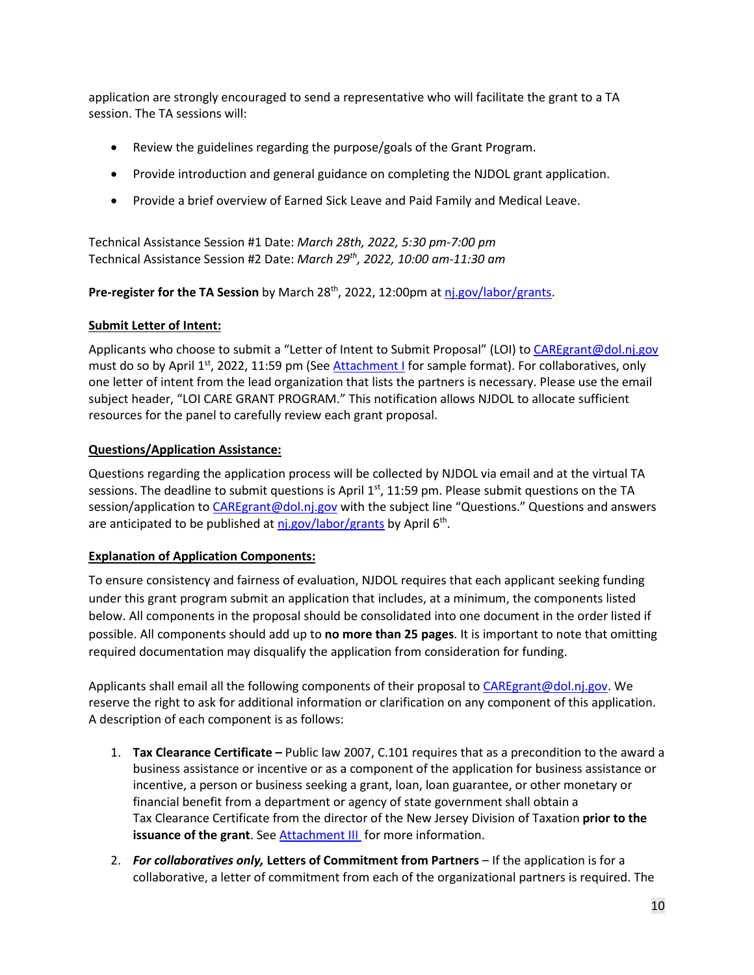application are strongly encouraged to send a representative who will facilitate the grant to a TA session. The TA sessions will:

- Review the guidelines regarding the purpose/goals of the Grant Program.
- Provide introduction and general guidance on completing the NJDOL grant application.
- Provide a brief overview of Earned Sick Leave and Paid Family and Medical Leave.

Technical Assistance Session #1 Date: *March 28th, 2022, 5:30 pm-7:00 pm* Technical Assistance Session #2 Date: *March 29th, 2022, 10:00 am-11:30 am*

**Pre-register for the TA Session** by March 28th, 2022, 12:00pm at [nj.gov/labor/grants.](https://www.nj.gov/labor/research-info/grants.shtml)

### **Submit Letter of Intent:**

Applicants who choose to submit a "Letter of Intent to Submit Proposal" (LOI) t[o CAREgrant@dol.nj.gov](mailto:CAREgrant@dol.nj.gov) must do so by April  $1^{st}$ , 2022, 11:59 pm (Se[e Attachment I](#page-21-0) for sample format). For collaboratives, only one letter of intent from the lead organization that lists the partners is necessary. Please use the email subject header, "LOI CARE GRANT PROGRAM." This notification allows NJDOL to allocate sufficient resources for the panel to carefully review each grant proposal.

## **Questions/Application Assistance:**

Questions regarding the application process will be collected by NJDOL via email and at the virtual TA sessions. The deadline to submit questions is April  $1<sup>st</sup>$ , 11:59 pm. Please submit questions on the TA session/application to [CAREgrant@dol.nj.gov](mailto:CAREgrant@dol.nj.gov) with the subject line "Questions." Questions and answers are anticipated to be published at [nj.gov/labor/grants](https://www.nj.gov/labor/research-info/grants.shtml) by April 6<sup>th</sup>.

# **Explanation of Application Components:**

To ensure consistency and fairness of evaluation, NJDOL requires that each applicant seeking funding under this grant program submit an application that includes, at a minimum, the components listed below. All components in the proposal should be consolidated into one document in the order listed if possible. All components should add up to **no more than 25 pages**. It is important to note that omitting required documentation may disqualify the application from consideration for funding.

Applicants shall email all the following components of their proposal t[o CAREgrant@dol.nj.gov.](mailto:CAREgrant@dol.nj.gov) We reserve the right to ask for additional information or clarification on any component of this application. A description of each component is as follows:

- 1. **Tax Clearance Certificate –** Public law 2007, C.101 requires that as a precondition to the award a business assistance or incentive or as a component of the application for business assistance or incentive, a person or business seeking a grant, loan, loan guarantee, or other monetary or financial benefit from a department or agency of state government shall obtain a Tax Clearance Certificate from the director of the New Jersey Division of Taxation **prior to the issuance of the grant**. See [Attachment III](#page-23-0) for more information.
- 2. *For collaboratives only,* **Letters of Commitment from Partners** If the application is for a collaborative, a letter of commitment from each of the organizational partners is required. The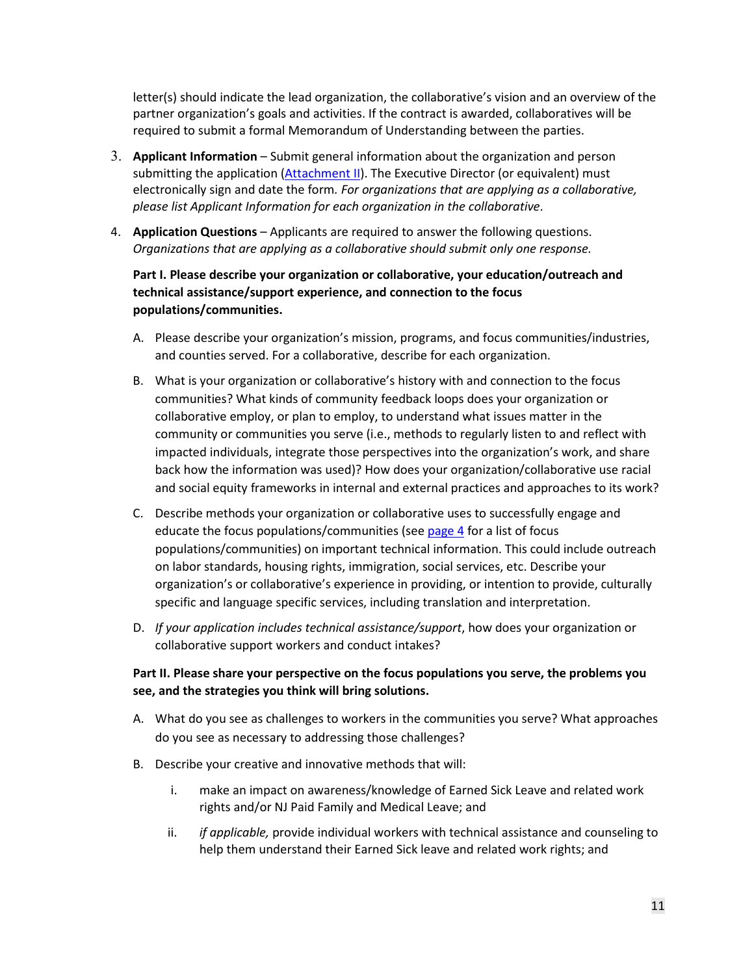letter(s) should indicate the lead organization, the collaborative's vision and an overview of the partner organization's goals and activities. If the contract is awarded, collaboratives will be required to submit a formal Memorandum of Understanding between the parties.

- 3. **Applicant Information** Submit general information about the organization and person submitting the application [\(Attachment II\)](#page-22-0). The Executive Director (or equivalent) must electronically sign and date the form*. For organizations that are applying as a collaborative, please list Applicant Information for each organization in the collaborative*.
- 4. **Application Questions** Applicants are required to answer the following questions. *Organizations that are applying as a collaborative should submit only one response.*

# **Part I. Please describe your organization or collaborative, your education/outreach and technical assistance/support experience, and connection to the focus populations/communities.**

- A. Please describe your organization's mission, programs, and focus communities/industries, and counties served. For a collaborative, describe for each organization.
- B. What is your organization or collaborative's history with and connection to the focus communities? What kinds of community feedback loops does your organization or collaborative employ, or plan to employ, to understand what issues matter in the community or communities you serve (i.e., methods to regularly listen to and reflect with impacted individuals, integrate those perspectives into the organization's work, and share back how the information was used)? How does your organization/collaborative use racial and social equity frameworks in internal and external practices and approaches to its work?
- C. Describe methods your organization or collaborative uses to successfully engage and educate the focus populations/communities (see [page 4](#page-2-1) for a list of focus populations/communities) on important technical information. This could include outreach on labor standards, housing rights, immigration, social services, etc. Describe your organization's or collaborative's experience in providing, or intention to provide, culturally specific and language specific services, including translation and interpretation.
- D. *If your application includes technical assistance/support*, how does your organization or collaborative support workers and conduct intakes?

# **Part II. Please share your perspective on the focus populations you serve, the problems you see, and the strategies you think will bring solutions.**

- A. What do you see as challenges to workers in the communities you serve? What approaches do you see as necessary to addressing those challenges?
- B. Describe your creative and innovative methods that will:
	- i. make an impact on awareness/knowledge of Earned Sick Leave and related work rights and/or NJ Paid Family and Medical Leave; and
	- ii. *if applicable,* provide individual workers with technical assistance and counseling to help them understand their Earned Sick leave and related work rights; and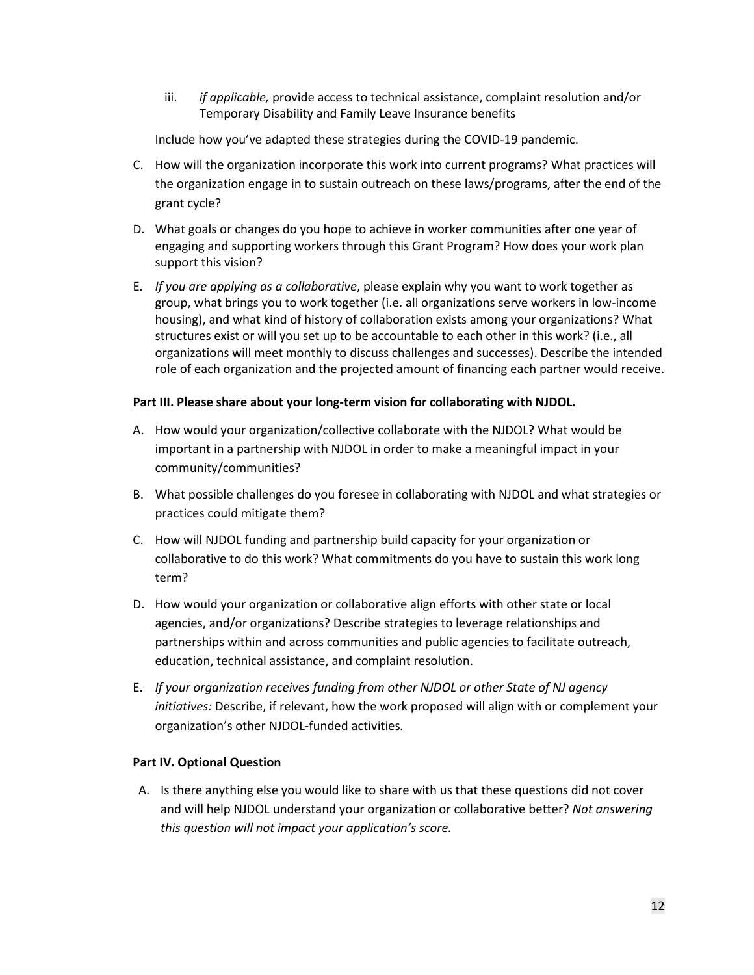iii. *if applicable,* provide access to technical assistance, complaint resolution and/or Temporary Disability and Family Leave Insurance benefits

Include how you've adapted these strategies during the COVID-19 pandemic.

- C. How will the organization incorporate this work into current programs? What practices will the organization engage in to sustain outreach on these laws/programs, after the end of the grant cycle?
- D. What goals or changes do you hope to achieve in worker communities after one year of engaging and supporting workers through this Grant Program? How does your work plan support this vision?
- E. *If you are applying as a collaborative*, please explain why you want to work together as group, what brings you to work together (i.e. all organizations serve workers in low-income housing), and what kind of history of collaboration exists among your organizations? What structures exist or will you set up to be accountable to each other in this work? (i.e., all organizations will meet monthly to discuss challenges and successes). Describe the intended role of each organization and the projected amount of financing each partner would receive.

## **Part III. Please share about your long-term vision for collaborating with NJDOL.**

- A. How would your organization/collective collaborate with the NJDOL? What would be important in a partnership with NJDOL in order to make a meaningful impact in your community/communities?
- B. What possible challenges do you foresee in collaborating with NJDOL and what strategies or practices could mitigate them?
- C. How will NJDOL funding and partnership build capacity for your organization or collaborative to do this work? What commitments do you have to sustain this work long term?
- D. How would your organization or collaborative align efforts with other state or local agencies, and/or organizations? Describe strategies to leverage relationships and partnerships within and across communities and public agencies to facilitate outreach, education, technical assistance, and complaint resolution.
- E. *If your organization receives funding from other NJDOL or other State of NJ agency initiatives:* Describe, if relevant, how the work proposed will align with or complement your organization's other NJDOL-funded activities*.*

# **Part IV. Optional Question**

A. Is there anything else you would like to share with us that these questions did not cover and will help NJDOL understand your organization or collaborative better? *Not answering this question will not impact your application's score.*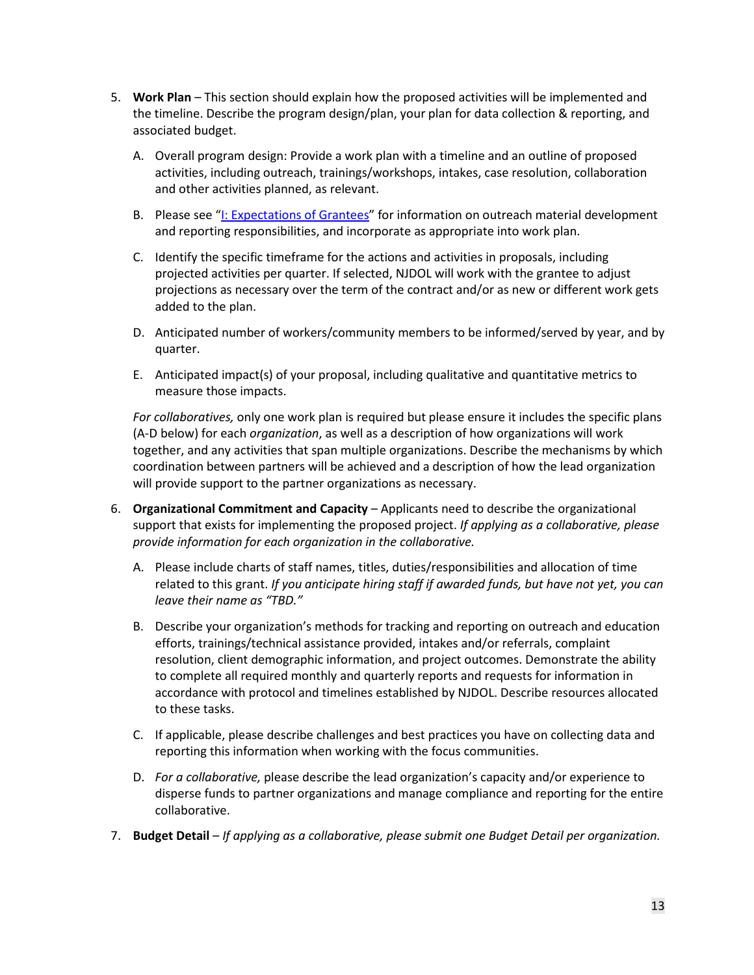- 5. **Work Plan** This section should explain how the proposed activities will be implemented and the timeline. Describe the program design/plan, your plan for data collection & reporting, and associated budget.
	- A. Overall program design: Provide a work plan with a timeline and an outline of proposed activities, including outreach, trainings/workshops, intakes, case resolution, collaboration and other activities planned, as relevant.
	- B. Please see ["I: Expectations of Grantees"](#page-14-1) for information on outreach material development and reporting responsibilities, and incorporate as appropriate into work plan.
	- C. Identify the specific timeframe for the actions and activities in proposals, including projected activities per quarter. If selected, NJDOL will work with the grantee to adjust projections as necessary over the term of the contract and/or as new or different work gets added to the plan.
	- D. Anticipated number of workers/community members to be informed/served by year, and by quarter.
	- E. Anticipated impact(s) of your proposal, including qualitative and quantitative metrics to measure those impacts.

*For collaboratives,* only one work plan is required but please ensure it includes the specific plans (A-D below) for each *organization*, as well as a description of how organizations will work together, and any activities that span multiple organizations. Describe the mechanisms by which coordination between partners will be achieved and a description of how the lead organization will provide support to the partner organizations as necessary.

- 6. **Organizational Commitment and Capacity** Applicants need to describe the organizational support that exists for implementing the proposed project. *If applying as a collaborative, please provide information for each organization in the collaborative.*
	- A. Please include charts of staff names, titles, duties/responsibilities and allocation of time related to this grant. *If you anticipate hiring staff if awarded funds, but have not yet, you can leave their name as "TBD."*
	- B. Describe your organization's methods for tracking and reporting on outreach and education efforts, trainings/technical assistance provided, intakes and/or referrals, complaint resolution, client demographic information, and project outcomes. Demonstrate the ability to complete all required monthly and quarterly reports and requests for information in accordance with protocol and timelines established by NJDOL. Describe resources allocated to these tasks.
	- C. If applicable, please describe challenges and best practices you have on collecting data and reporting this information when working with the focus communities.
	- D. *For a collaborative,* please describe the lead organization's capacity and/or experience to disperse funds to partner organizations and manage compliance and reporting for the entire collaborative.
- 7. **Budget Detail**  *If applying as a collaborative, please submit one Budget Detail per organization.*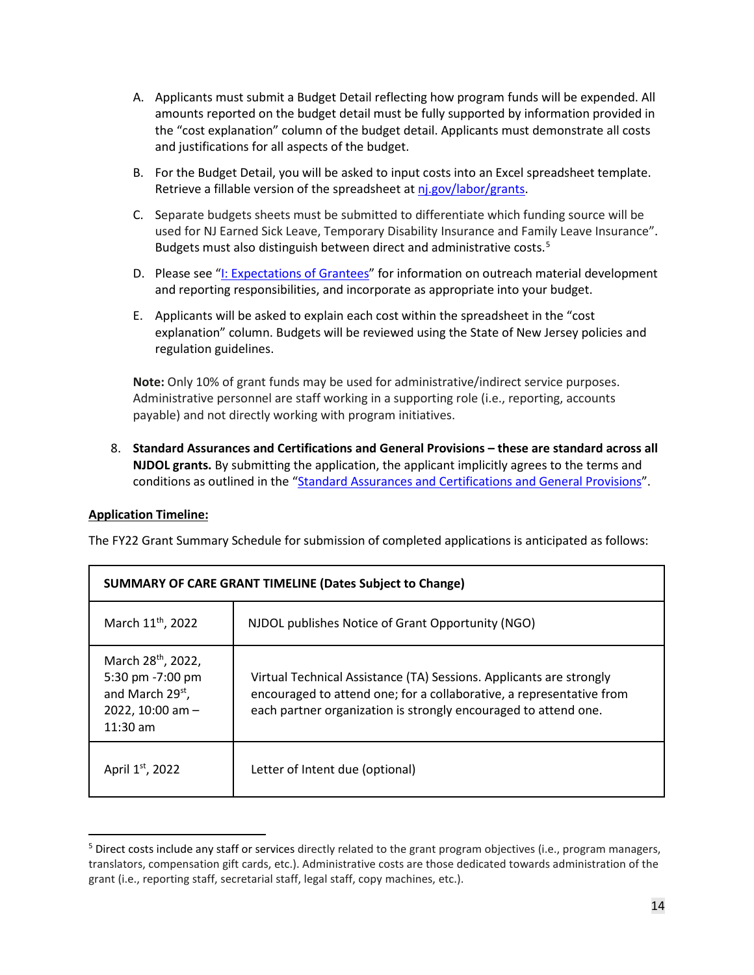- A. Applicants must submit a Budget Detail reflecting how program funds will be expended. All amounts reported on the budget detail must be fully supported by information provided in the "cost explanation" column of the budget detail. Applicants must demonstrate all costs and justifications for all aspects of the budget.
- B. For the Budget Detail, you will be asked to input costs into an Excel spreadsheet template. Retrieve a fillable version of the spreadsheet a[t nj.gov/labor/grants.](https://www.nj.gov/labor/research-info/grants.shtml)
- C. Separate budgets sheets must be submitted to differentiate which funding source will be used for NJ Earned Sick Leave, Temporary Disability Insurance and Family Leave Insurance". Budgets must also distinguish between direct and administrative costs.<sup>[5](#page-13-0)</sup>
- D. Please see ["I: Expectations of Grantees"](#page-14-1) for information on outreach material development and reporting responsibilities, and incorporate as appropriate into your budget.
- E. Applicants will be asked to explain each cost within the spreadsheet in the "cost explanation" column. Budgets will be reviewed using the State of New Jersey policies and regulation guidelines.

**Note:** Only 10% of grant funds may be used for administrative/indirect service purposes. Administrative personnel are staff working in a supporting role (i.e., reporting, accounts payable) and not directly working with program initiatives.

8. **Standard Assurances and Certifications and General Provisions – these are standard across all NJDOL grants.** By submitting the application, the applicant implicitly agrees to the terms and conditions as outlined in the ["Standard Assurances and Certifications](https://nj.gov/labor/assets/PDFs/Grants/StandardAssurancesandCertificationsandGeneralProvisionsFederalFundedPrograms_revised.pdf) and General Provisions".

# **Application Timeline:**

The FY22 Grant Summary Schedule for submission of completed applications is anticipated as follows:

| <b>SUMMARY OF CARE GRANT TIMELINE (Dates Subject to Change)</b>                                                      |                                                                                                                                                                                                                |  |  |
|----------------------------------------------------------------------------------------------------------------------|----------------------------------------------------------------------------------------------------------------------------------------------------------------------------------------------------------------|--|--|
| March 11 <sup>th</sup> , 2022                                                                                        | NJDOL publishes Notice of Grant Opportunity (NGO)                                                                                                                                                              |  |  |
| March 28 <sup>th</sup> , 2022,<br>5:30 pm -7:00 pm<br>and March 29 <sup>st</sup> ,<br>2022, 10:00 am -<br>$11:30$ am | Virtual Technical Assistance (TA) Sessions. Applicants are strongly<br>encouraged to attend one; for a collaborative, a representative from<br>each partner organization is strongly encouraged to attend one. |  |  |
| April 1st, 2022                                                                                                      | Letter of Intent due (optional)                                                                                                                                                                                |  |  |

<span id="page-13-0"></span><sup>&</sup>lt;sup>5</sup> Direct costs include any staff or services directly related to the grant program objectives (i.e., program managers, translators, compensation gift cards, etc.). Administrative costs are those dedicated towards administration of the grant (i.e., reporting staff, secretarial staff, legal staff, copy machines, etc.).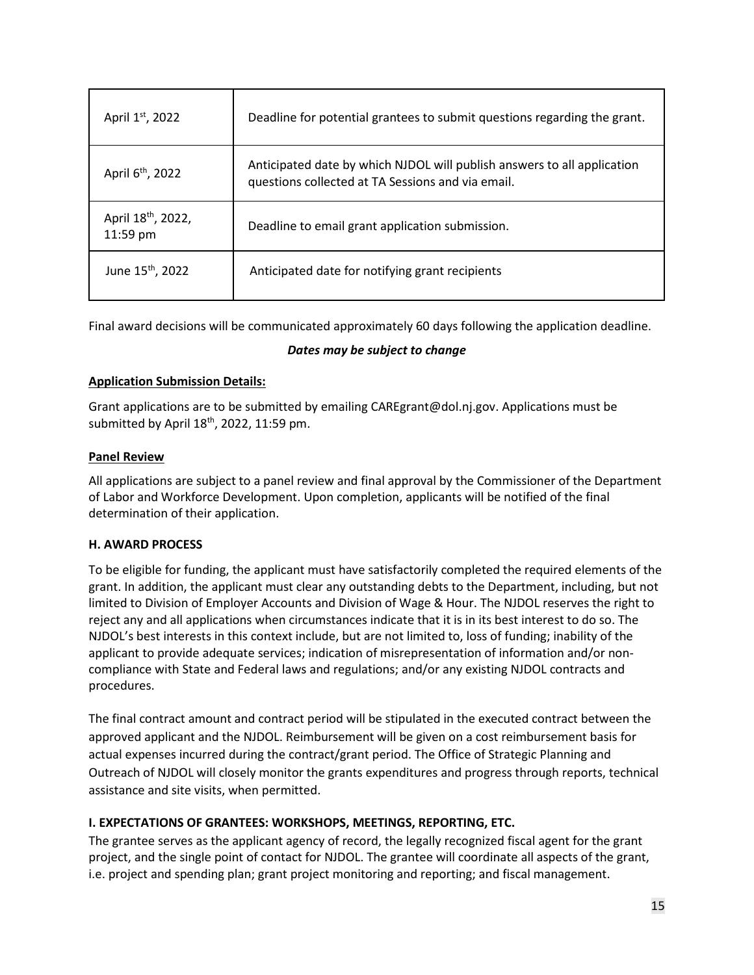| April 1st, 2022                            | Deadline for potential grantees to submit questions regarding the grant.                                                     |
|--------------------------------------------|------------------------------------------------------------------------------------------------------------------------------|
| April 6 <sup>th</sup> , 2022               | Anticipated date by which NJDOL will publish answers to all application<br>questions collected at TA Sessions and via email. |
| April 18 <sup>th</sup> , 2022,<br>11:59 pm | Deadline to email grant application submission.                                                                              |
| June 15 <sup>th</sup> , 2022               | Anticipated date for notifying grant recipients                                                                              |

Final award decisions will be communicated approximately 60 days following the application deadline.

### *Dates may be subject to change*

## **Application Submission Details:**

Grant applications are to be submitted by emailing CAREgrant@dol.nj.gov. Applications must be submitted by April 18<sup>th</sup>, 2022, 11:59 pm.

## **Panel Review**

All applications are subject to a panel review and final approval by the Commissioner of the Department of Labor and Workforce Development. Upon completion, applicants will be notified of the final determination of their application.

# <span id="page-14-0"></span>**H. AWARD PROCESS**

To be eligible for funding, the applicant must have satisfactorily completed the required elements of the grant. In addition, the applicant must clear any outstanding debts to the Department, including, but not limited to Division of Employer Accounts and Division of Wage & Hour. The NJDOL reserves the right to reject any and all applications when circumstances indicate that it is in its best interest to do so. The NJDOL's best interests in this context include, but are not limited to, loss of funding; inability of the applicant to provide adequate services; indication of misrepresentation of information and/or noncompliance with State and Federal laws and regulations; and/or any existing NJDOL contracts and procedures.

The final contract amount and contract period will be stipulated in the executed contract between the approved applicant and the NJDOL. Reimbursement will be given on a cost reimbursement basis for actual expenses incurred during the contract/grant period. The Office of Strategic Planning and Outreach of NJDOL will closely monitor the grants expenditures and progress through reports, technical assistance and site visits, when permitted.

# <span id="page-14-1"></span>**I. EXPECTATIONS OF GRANTEES: WORKSHOPS, MEETINGS, REPORTING, ETC.**

The grantee serves as the applicant agency of record, the legally recognized fiscal agent for the grant project, and the single point of contact for NJDOL. The grantee will coordinate all aspects of the grant, i.e. project and spending plan; grant project monitoring and reporting; and fiscal management.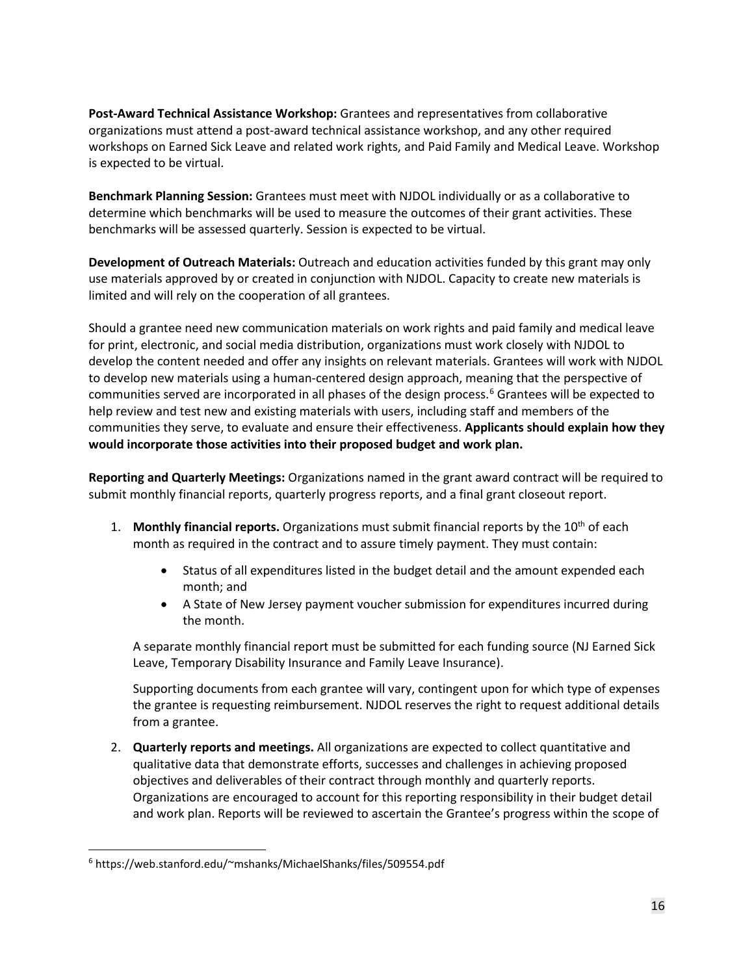**Post-Award Technical Assistance Workshop:** Grantees and representatives from collaborative organizations must attend a post-award technical assistance workshop, and any other required workshops on Earned Sick Leave and related work rights, and Paid Family and Medical Leave. Workshop is expected to be virtual.

**Benchmark Planning Session:** Grantees must meet with NJDOL individually or as a collaborative to determine which benchmarks will be used to measure the outcomes of their grant activities. These benchmarks will be assessed quarterly. Session is expected to be virtual.

**Development of Outreach Materials:** Outreach and education activities funded by this grant may only use materials approved by or created in conjunction with NJDOL. Capacity to create new materials is limited and will rely on the cooperation of all grantees.

Should a grantee need new communication materials on work rights and paid family and medical leave for print, electronic, and social media distribution, organizations must work closely with NJDOL to develop the content needed and offer any insights on relevant materials. Grantees will work with NJDOL to develop new materials using a human-centered design approach, meaning that the perspective of communities served are incorporated in all phases of the design process.[6](#page-15-0) Grantees will be expected to help review and test new and existing materials with users, including staff and members of the communities they serve, to evaluate and ensure their effectiveness. **Applicants should explain how they would incorporate those activities into their proposed budget and work plan.**

**Reporting and Quarterly Meetings:** Organizations named in the grant award contract will be required to submit monthly financial reports, quarterly progress reports, and a final grant closeout report.

- 1. **Monthly financial reports.** Organizations must submit financial reports by the 10<sup>th</sup> of each month as required in the contract and to assure timely payment. They must contain:
	- Status of all expenditures listed in the budget detail and the amount expended each month; and
	- A State of New Jersey payment voucher submission for expenditures incurred during the month.

A separate monthly financial report must be submitted for each funding source (NJ Earned Sick Leave, Temporary Disability Insurance and Family Leave Insurance).

Supporting documents from each grantee will vary, contingent upon for which type of expenses the grantee is requesting reimbursement. NJDOL reserves the right to request additional details from a grantee.

2. **Quarterly reports and meetings.** All organizations are expected to collect quantitative and qualitative data that demonstrate efforts, successes and challenges in achieving proposed objectives and deliverables of their contract through monthly and quarterly reports. Organizations are encouraged to account for this reporting responsibility in their budget detail and work plan. Reports will be reviewed to ascertain the Grantee's progress within the scope of

<span id="page-15-0"></span> <sup>6</sup> https://web.stanford.edu/~mshanks/MichaelShanks/files/509554.pdf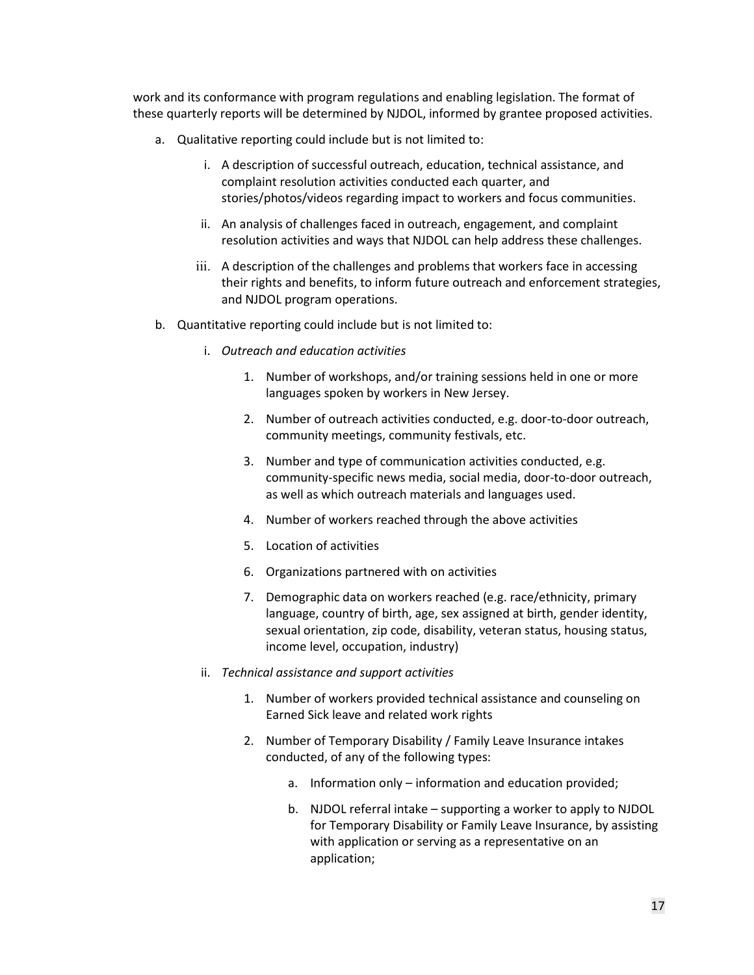work and its conformance with program regulations and enabling legislation. The format of these quarterly reports will be determined by NJDOL, informed by grantee proposed activities.

- a. Qualitative reporting could include but is not limited to:
	- i. A description of successful outreach, education, technical assistance, and complaint resolution activities conducted each quarter, and stories/photos/videos regarding impact to workers and focus communities.
	- ii. An analysis of challenges faced in outreach, engagement, and complaint resolution activities and ways that NJDOL can help address these challenges.
	- iii. A description of the challenges and problems that workers face in accessing their rights and benefits, to inform future outreach and enforcement strategies, and NJDOL program operations.
- b. Quantitative reporting could include but is not limited to:
	- i. *Outreach and education activities*
		- 1. Number of workshops, and/or training sessions held in one or more languages spoken by workers in New Jersey.
		- 2. Number of outreach activities conducted, e.g. door-to-door outreach, community meetings, community festivals, etc.
		- 3. Number and type of communication activities conducted, e.g. community-specific news media, social media, door-to-door outreach, as well as which outreach materials and languages used.
		- 4. Number of workers reached through the above activities
		- 5. Location of activities
		- 6. Organizations partnered with on activities
		- 7. Demographic data on workers reached (e.g. race/ethnicity, primary language, country of birth, age, sex assigned at birth, gender identity, sexual orientation, zip code, disability, veteran status, housing status, income level, occupation, industry)
	- ii. *Technical assistance and support activities*
		- 1. Number of workers provided technical assistance and counseling on Earned Sick leave and related work rights
		- 2. Number of Temporary Disability / Family Leave Insurance intakes conducted, of any of the following types:
			- a. Information only information and education provided;
			- b. NJDOL referral intake supporting a worker to apply to NJDOL for Temporary Disability or Family Leave Insurance, by assisting with application or serving as a representative on an application;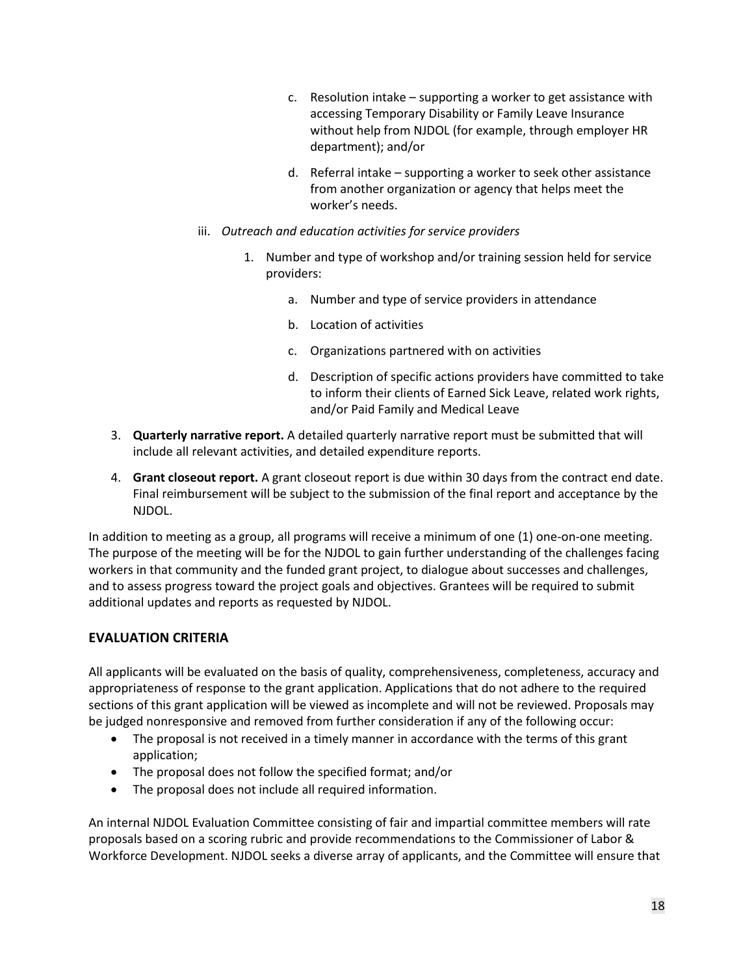- c. Resolution intake supporting a worker to get assistance with accessing Temporary Disability or Family Leave Insurance without help from NJDOL (for example, through employer HR department); and/or
- d. Referral intake supporting a worker to seek other assistance from another organization or agency that helps meet the worker's needs.
- iii. *Outreach and education activities for service providers*
	- 1. Number and type of workshop and/or training session held for service providers:
		- a. Number and type of service providers in attendance
		- b. Location of activities
		- c. Organizations partnered with on activities
		- d. Description of specific actions providers have committed to take to inform their clients of Earned Sick Leave, related work rights, and/or Paid Family and Medical Leave
- 3. **Quarterly narrative report.** A detailed quarterly narrative report must be submitted that will include all relevant activities, and detailed expenditure reports.
- 4. **Grant closeout report.** A grant closeout report is due within 30 days from the contract end date. Final reimbursement will be subject to the submission of the final report and acceptance by the NJDOL.

In addition to meeting as a group, all programs will receive a minimum of one (1) one-on-one meeting. The purpose of the meeting will be for the NJDOL to gain further understanding of the challenges facing workers in that community and the funded grant project, to dialogue about successes and challenges, and to assess progress toward the project goals and objectives. Grantees will be required to submit additional updates and reports as requested by NJDOL.

# **EVALUATION CRITERIA**

All applicants will be evaluated on the basis of quality, comprehensiveness, completeness, accuracy and appropriateness of response to the grant application. Applications that do not adhere to the required sections of this grant application will be viewed as incomplete and will not be reviewed. Proposals may be judged nonresponsive and removed from further consideration if any of the following occur:

- The proposal is not received in a timely manner in accordance with the terms of this grant application;
- The proposal does not follow the specified format; and/or
- The proposal does not include all required information.

An internal NJDOL Evaluation Committee consisting of fair and impartial committee members will rate proposals based on a scoring rubric and provide recommendations to the Commissioner of Labor & Workforce Development. NJDOL seeks a diverse array of applicants, and the Committee will ensure that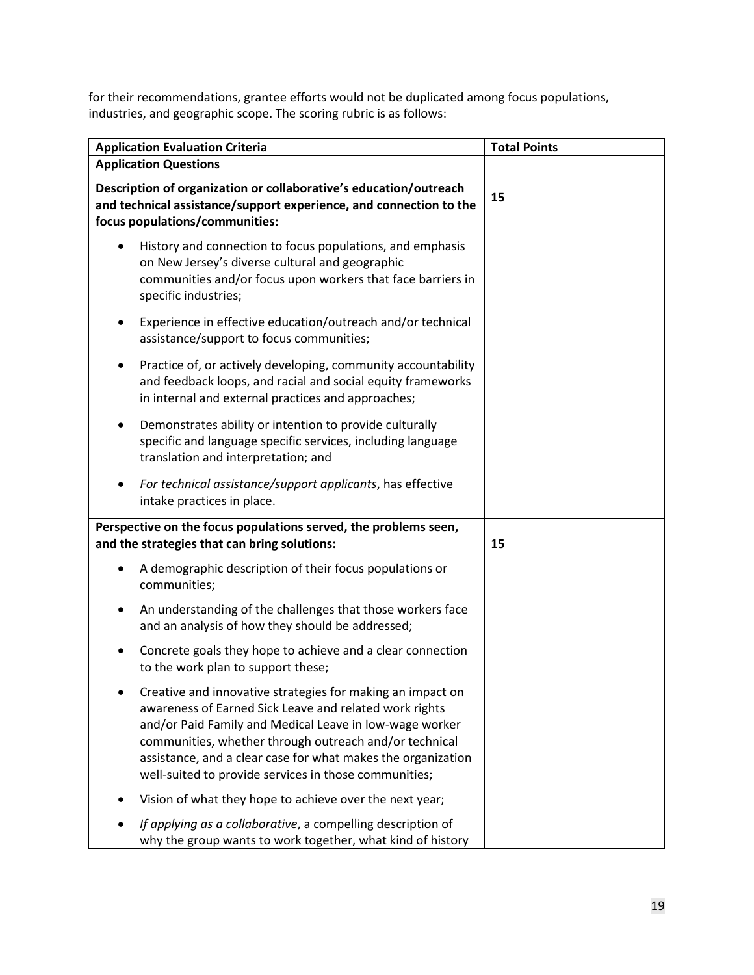for their recommendations, grantee efforts would not be duplicated among focus populations, industries, and geographic scope. The scoring rubric is as follows:

| <b>Application Evaluation Criteria</b>                                                                                                                                                                                                                                                                                                                             | <b>Total Points</b> |  |
|--------------------------------------------------------------------------------------------------------------------------------------------------------------------------------------------------------------------------------------------------------------------------------------------------------------------------------------------------------------------|---------------------|--|
| <b>Application Questions</b>                                                                                                                                                                                                                                                                                                                                       |                     |  |
| Description of organization or collaborative's education/outreach<br>and technical assistance/support experience, and connection to the<br>focus populations/communities:                                                                                                                                                                                          | 15                  |  |
| History and connection to focus populations, and emphasis<br>$\bullet$<br>on New Jersey's diverse cultural and geographic<br>communities and/or focus upon workers that face barriers in<br>specific industries;                                                                                                                                                   |                     |  |
| Experience in effective education/outreach and/or technical<br>assistance/support to focus communities;                                                                                                                                                                                                                                                            |                     |  |
| Practice of, or actively developing, community accountability<br>and feedback loops, and racial and social equity frameworks<br>in internal and external practices and approaches;                                                                                                                                                                                 |                     |  |
| Demonstrates ability or intention to provide culturally<br>specific and language specific services, including language<br>translation and interpretation; and                                                                                                                                                                                                      |                     |  |
| For technical assistance/support applicants, has effective<br>intake practices in place.                                                                                                                                                                                                                                                                           |                     |  |
| Perspective on the focus populations served, the problems seen,<br>and the strategies that can bring solutions:                                                                                                                                                                                                                                                    | 15                  |  |
| A demographic description of their focus populations or<br>$\bullet$<br>communities;                                                                                                                                                                                                                                                                               |                     |  |
| An understanding of the challenges that those workers face<br>٠<br>and an analysis of how they should be addressed;                                                                                                                                                                                                                                                |                     |  |
| Concrete goals they hope to achieve and a clear connection<br>to the work plan to support these;                                                                                                                                                                                                                                                                   |                     |  |
| Creative and innovative strategies for making an impact on<br>awareness of Earned Sick Leave and related work rights<br>and/or Paid Family and Medical Leave in low-wage worker<br>communities, whether through outreach and/or technical<br>assistance, and a clear case for what makes the organization<br>well-suited to provide services in those communities; |                     |  |
| Vision of what they hope to achieve over the next year;                                                                                                                                                                                                                                                                                                            |                     |  |
| If applying as a collaborative, a compelling description of<br>why the group wants to work together, what kind of history                                                                                                                                                                                                                                          |                     |  |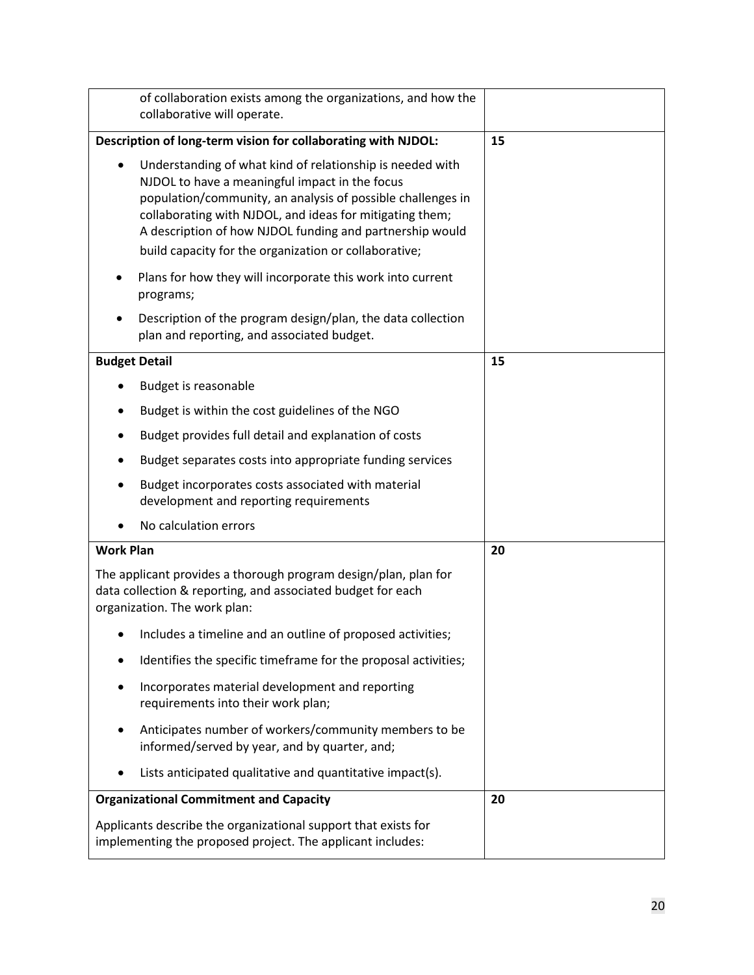| of collaboration exists among the organizations, and how the<br>collaborative will operate.                                                                                                                                                                                                                                                                              |    |
|--------------------------------------------------------------------------------------------------------------------------------------------------------------------------------------------------------------------------------------------------------------------------------------------------------------------------------------------------------------------------|----|
| Description of long-term vision for collaborating with NJDOL:                                                                                                                                                                                                                                                                                                            | 15 |
| Understanding of what kind of relationship is needed with<br>$\bullet$<br>NJDOL to have a meaningful impact in the focus<br>population/community, an analysis of possible challenges in<br>collaborating with NJDOL, and ideas for mitigating them;<br>A description of how NJDOL funding and partnership would<br>build capacity for the organization or collaborative; |    |
| Plans for how they will incorporate this work into current<br>programs;                                                                                                                                                                                                                                                                                                  |    |
| Description of the program design/plan, the data collection<br>plan and reporting, and associated budget.                                                                                                                                                                                                                                                                |    |
| <b>Budget Detail</b>                                                                                                                                                                                                                                                                                                                                                     | 15 |
| Budget is reasonable                                                                                                                                                                                                                                                                                                                                                     |    |
| Budget is within the cost guidelines of the NGO                                                                                                                                                                                                                                                                                                                          |    |
| Budget provides full detail and explanation of costs                                                                                                                                                                                                                                                                                                                     |    |
| Budget separates costs into appropriate funding services                                                                                                                                                                                                                                                                                                                 |    |
| Budget incorporates costs associated with material<br>development and reporting requirements                                                                                                                                                                                                                                                                             |    |
| No calculation errors                                                                                                                                                                                                                                                                                                                                                    |    |
| <b>Work Plan</b>                                                                                                                                                                                                                                                                                                                                                         | 20 |
| The applicant provides a thorough program design/plan, plan for<br>data collection & reporting, and associated budget for each<br>organization. The work plan:                                                                                                                                                                                                           |    |
| Includes a timeline and an outline of proposed activities;                                                                                                                                                                                                                                                                                                               |    |
| Identifies the specific timeframe for the proposal activities;                                                                                                                                                                                                                                                                                                           |    |
| Incorporates material development and reporting<br>requirements into their work plan;                                                                                                                                                                                                                                                                                    |    |
| Anticipates number of workers/community members to be<br>informed/served by year, and by quarter, and;                                                                                                                                                                                                                                                                   |    |
| Lists anticipated qualitative and quantitative impact(s).                                                                                                                                                                                                                                                                                                                |    |
| <b>Organizational Commitment and Capacity</b>                                                                                                                                                                                                                                                                                                                            | 20 |
| Applicants describe the organizational support that exists for<br>implementing the proposed project. The applicant includes:                                                                                                                                                                                                                                             |    |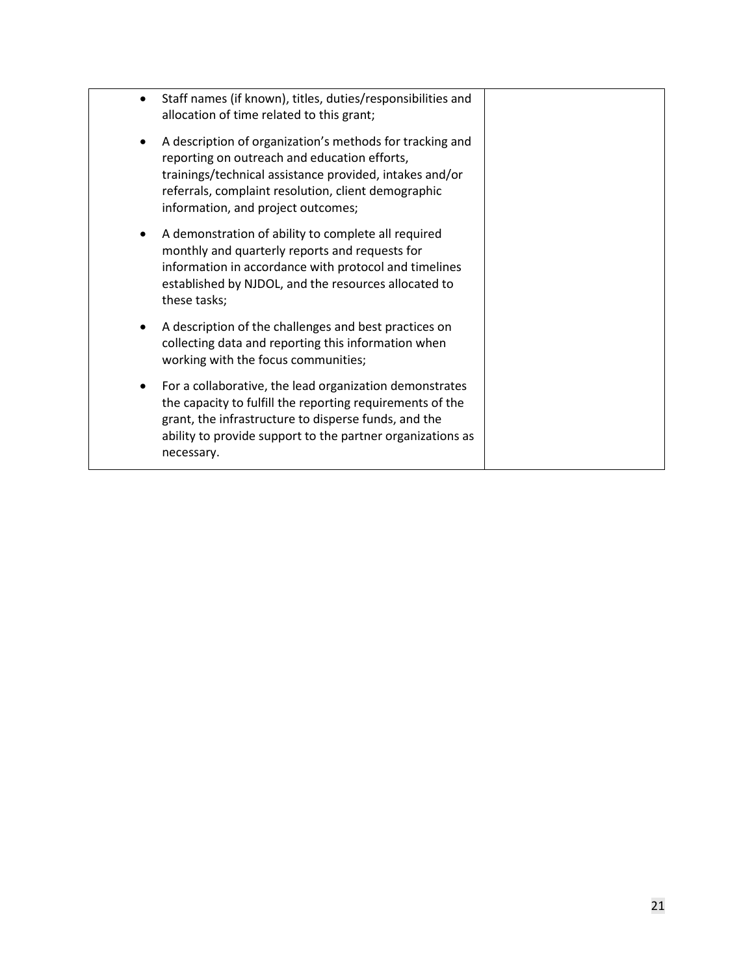| Staff names (if known), titles, duties/responsibilities and<br>allocation of time related to this grant;                                                                                                                                                         |  |
|------------------------------------------------------------------------------------------------------------------------------------------------------------------------------------------------------------------------------------------------------------------|--|
| A description of organization's methods for tracking and<br>reporting on outreach and education efforts,<br>trainings/technical assistance provided, intakes and/or<br>referrals, complaint resolution, client demographic<br>information, and project outcomes; |  |
| A demonstration of ability to complete all required<br>monthly and quarterly reports and requests for<br>information in accordance with protocol and timelines<br>established by NJDOL, and the resources allocated to<br>these tasks;                           |  |
| A description of the challenges and best practices on<br>collecting data and reporting this information when<br>working with the focus communities;                                                                                                              |  |
| For a collaborative, the lead organization demonstrates<br>the capacity to fulfill the reporting requirements of the<br>grant, the infrastructure to disperse funds, and the<br>ability to provide support to the partner organizations as<br>necessary.         |  |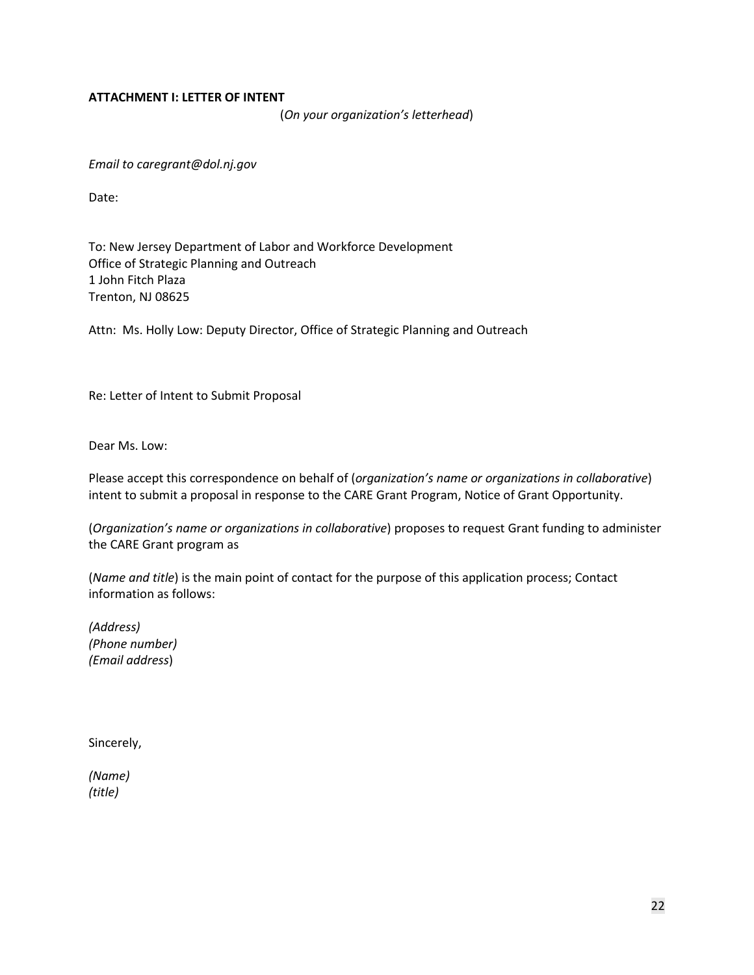### <span id="page-21-0"></span>**ATTACHMENT I: LETTER OF INTENT**

(*On your organization's letterhead*)

*Email to caregrant@dol.nj.gov*

Date:

To: New Jersey Department of Labor and Workforce Development Office of Strategic Planning and Outreach 1 John Fitch Plaza Trenton, NJ 08625

Attn: Ms. Holly Low: Deputy Director, Office of Strategic Planning and Outreach

Re: Letter of Intent to Submit Proposal

Dear Ms. Low:

Please accept this correspondence on behalf of (*organization's name or organizations in collaborative*) intent to submit a proposal in response to the CARE Grant Program, Notice of Grant Opportunity.

(*Organization's name or organizations in collaborative*) proposes to request Grant funding to administer the CARE Grant program as

(*Name and title*) is the main point of contact for the purpose of this application process; Contact information as follows:

*(Address) (Phone number) (Email address*)

Sincerely,

*(Name) (title)*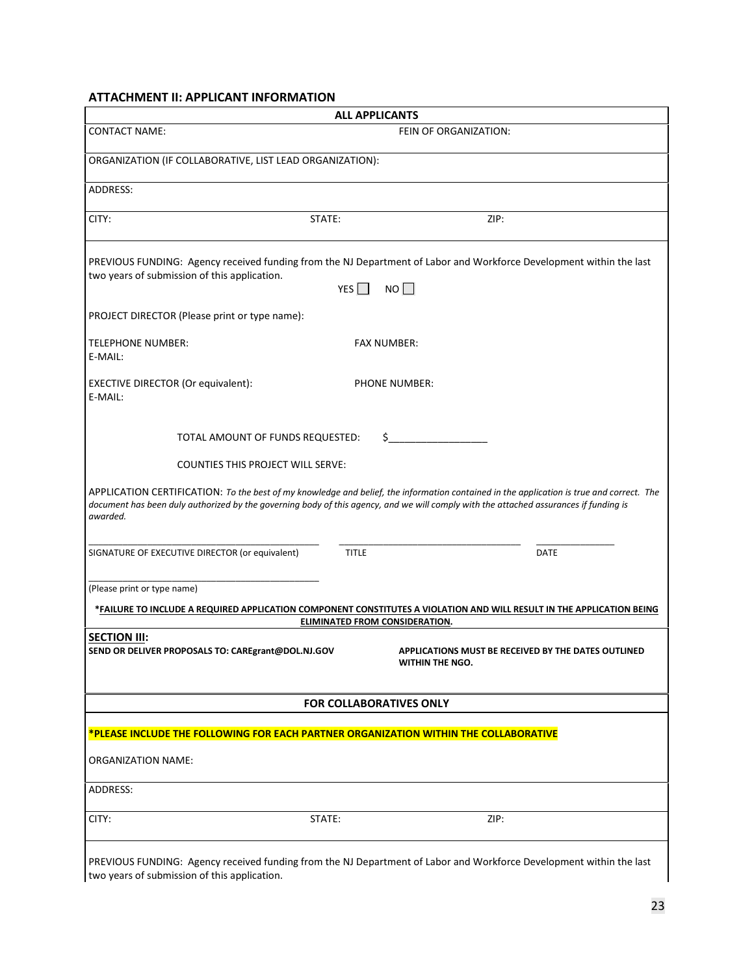# <span id="page-22-0"></span>**ATTACHMENT II: APPLICANT INFORMATION**

| <b>ALL APPLICANTS</b>                                                                                                                                                                   |                                                                                                                                                                                                                                                                                   |  |
|-----------------------------------------------------------------------------------------------------------------------------------------------------------------------------------------|-----------------------------------------------------------------------------------------------------------------------------------------------------------------------------------------------------------------------------------------------------------------------------------|--|
| <b>CONTACT NAME:</b>                                                                                                                                                                    | FEIN OF ORGANIZATION:                                                                                                                                                                                                                                                             |  |
| ORGANIZATION (IF COLLABORATIVE, LIST LEAD ORGANIZATION):                                                                                                                                |                                                                                                                                                                                                                                                                                   |  |
| ADDRESS:                                                                                                                                                                                |                                                                                                                                                                                                                                                                                   |  |
| CITY:<br>STATE:                                                                                                                                                                         | ZIP:                                                                                                                                                                                                                                                                              |  |
| PREVIOUS FUNDING: Agency received funding from the NJ Department of Labor and Workforce Development within the last<br>two years of submission of this application.<br>YES $\Box$<br>NO |                                                                                                                                                                                                                                                                                   |  |
| PROJECT DIRECTOR (Please print or type name):                                                                                                                                           |                                                                                                                                                                                                                                                                                   |  |
| <b>TELEPHONE NUMBER:</b><br>E-MAIL:                                                                                                                                                     | <b>FAX NUMBER:</b>                                                                                                                                                                                                                                                                |  |
| <b>EXECTIVE DIRECTOR (Or equivalent):</b><br>E-MAIL:                                                                                                                                    | <b>PHONE NUMBER:</b>                                                                                                                                                                                                                                                              |  |
| TOTAL AMOUNT OF FUNDS REQUESTED:                                                                                                                                                        | S                                                                                                                                                                                                                                                                                 |  |
| <b>COUNTIES THIS PROJECT WILL SERVE:</b>                                                                                                                                                |                                                                                                                                                                                                                                                                                   |  |
| awarded.                                                                                                                                                                                | APPLICATION CERTIFICATION: To the best of my knowledge and belief, the information contained in the application is true and correct. The<br>document has been duly authorized by the governing body of this agency, and we will comply with the attached assurances if funding is |  |
| SIGNATURE OF EXECUTIVE DIRECTOR (or equivalent)                                                                                                                                         | <b>TITLE</b><br><b>DATE</b>                                                                                                                                                                                                                                                       |  |
| (Please print or type name)                                                                                                                                                             |                                                                                                                                                                                                                                                                                   |  |
|                                                                                                                                                                                         | *FAILURE TO INCLUDE A REQUIRED APPLICATION COMPONENT CONSTITUTES A VIOLATION AND WILL RESULT IN THE APPLICATION BEING<br>ELIMINATED FROM CONSIDERATION.                                                                                                                           |  |
| <b>SECTION III:</b><br>SEND OR DELIVER PROPOSALS TO: CAREgrant@DOL.NJ.GOV                                                                                                               | APPLICATIONS MUST BE RECEIVED BY THE DATES OUTLINED<br>WITHIN THE NGO.                                                                                                                                                                                                            |  |
| <b>FOR COLLABORATIVES ONLY</b>                                                                                                                                                          |                                                                                                                                                                                                                                                                                   |  |
| *PLEASE INCLUDE THE FOLLOWING FOR EACH PARTNER ORGANIZATION WITHIN THE COLLABORATIVE                                                                                                    |                                                                                                                                                                                                                                                                                   |  |
| ORGANIZATION NAME:                                                                                                                                                                      |                                                                                                                                                                                                                                                                                   |  |
| ADDRESS:                                                                                                                                                                                |                                                                                                                                                                                                                                                                                   |  |
| CITY:<br>STATE:                                                                                                                                                                         | ZIP:                                                                                                                                                                                                                                                                              |  |
| two years of submission of this application.                                                                                                                                            | PREVIOUS FUNDING: Agency received funding from the NJ Department of Labor and Workforce Development within the last                                                                                                                                                               |  |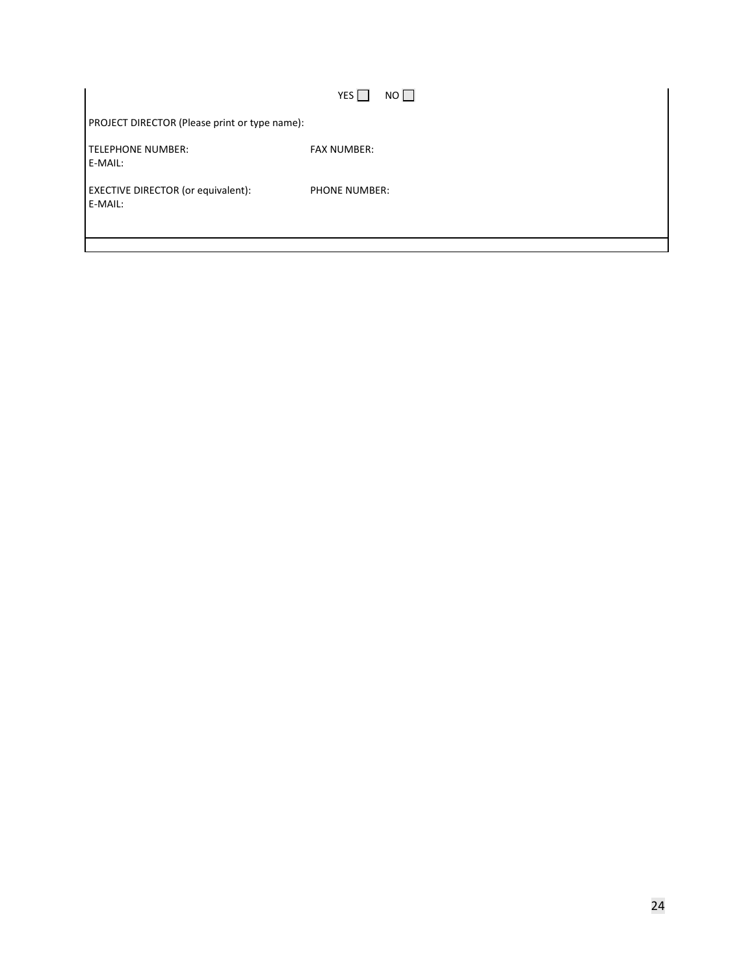<span id="page-23-0"></span>

|                                               | $NO$ $\Box$<br>YES   |
|-----------------------------------------------|----------------------|
| PROJECT DIRECTOR (Please print or type name): |                      |
| TELEPHONE NUMBER:<br>E-MAIL:                  | <b>FAX NUMBER:</b>   |
| EXECTIVE DIRECTOR (or equivalent):<br>E-MAIL: | <b>PHONE NUMBER:</b> |
|                                               |                      |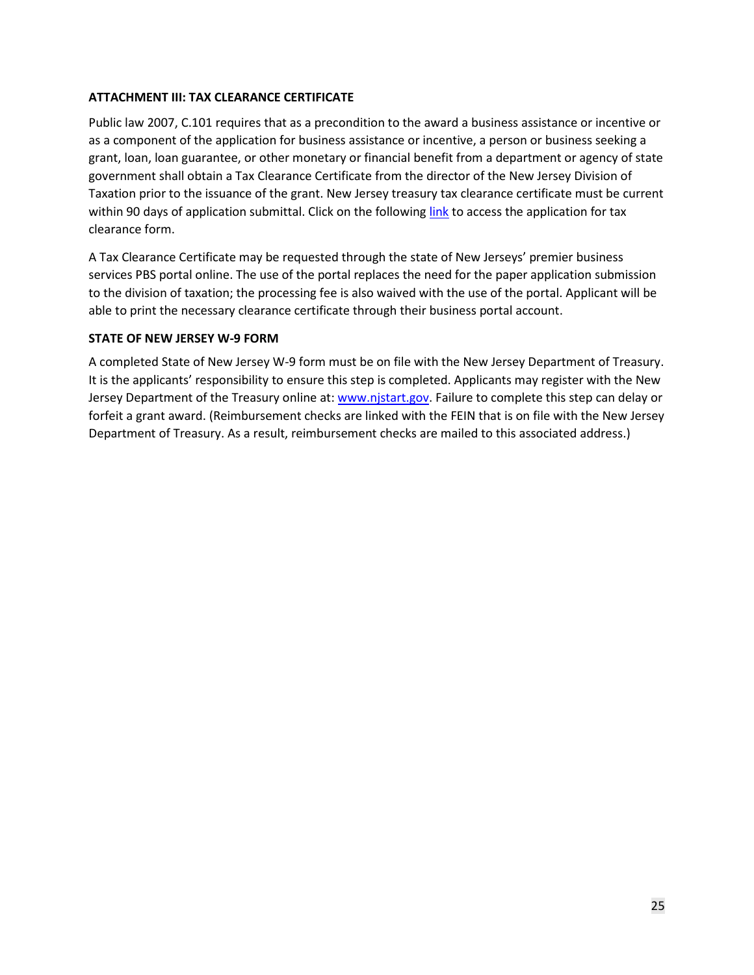## <span id="page-24-0"></span>**ATTACHMENT III: TAX CLEARANCE CERTIFICATE**

Public law 2007, C.101 requires that as a precondition to the award a business assistance or incentive or as a component of the application for business assistance or incentive, a person or business seeking a grant, loan, loan guarantee, or other monetary or financial benefit from a department or agency of state government shall obtain a Tax Clearance Certificate from the director of the New Jersey Division of Taxation prior to the issuance of the grant. New Jersey treasury tax clearance certificate must be current within 90 days of application submittal. Click on the following [link](https://www.state.nj.us/treasury/taxation/busasst.shtml) to access the application for tax clearance form.

A Tax Clearance Certificate may be requested through the state of New Jerseys' premier business services PBS portal online. The use of the portal replaces the need for the paper application submission to the division of taxation; the processing fee is also waived with the use of the portal. Applicant will be able to print the necessary clearance certificate through their business portal account.

### **STATE OF NEW JERSEY W-9 FORM**

A completed State of New Jersey W-9 form must be on file with the New Jersey Department of Treasury. It is the applicants' responsibility to ensure this step is completed. Applicants may register with the New Jersey Department of the Treasury online at: [www.njstart.gov.](https://www.njstart.gov/bso/) Failure to complete this step can delay or forfeit a grant award. (Reimbursement checks are linked with the FEIN that is on file with the New Jersey Department of Treasury. As a result, reimbursement checks are mailed to this associated address.)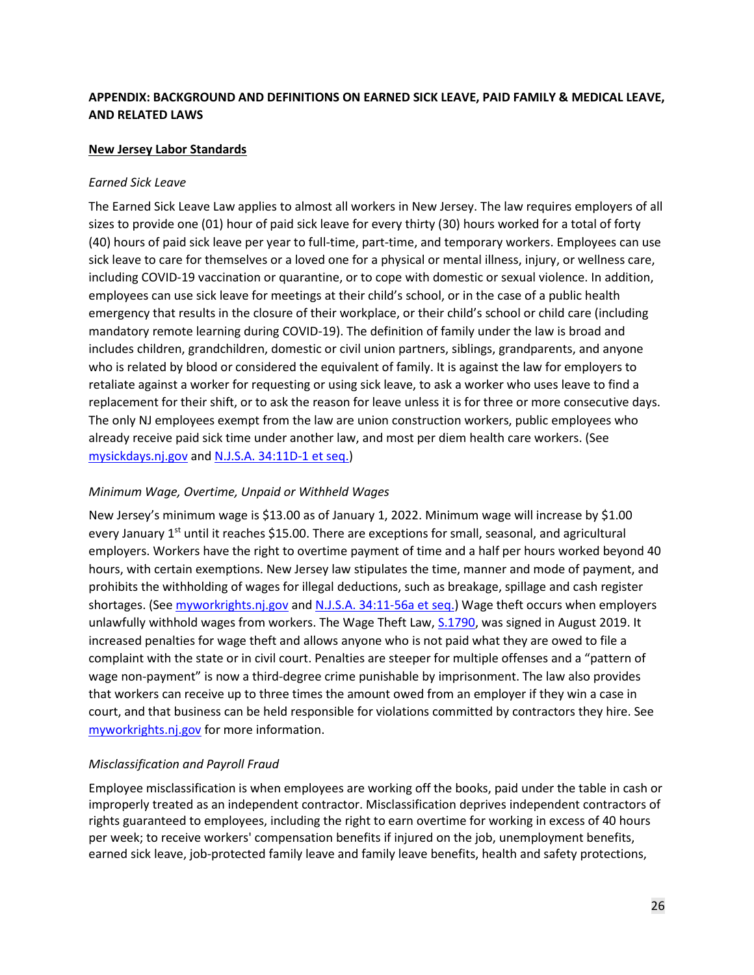# <span id="page-25-0"></span>**APPENDIX: BACKGROUND AND DEFINITIONS ON EARNED SICK LEAVE, PAID FAMILY & MEDICAL LEAVE, AND RELATED LAWS**

### **New Jersey Labor Standards**

### *Earned Sick Leave*

The Earned Sick Leave Law applies to almost all workers in New Jersey. The law requires employers of all sizes to provide one (01) hour of paid sick leave for every thirty (30) hours worked for a total of forty (40) hours of paid sick leave per year to full-time, part-time, and temporary workers. Employees can use sick leave to care for themselves or a loved one for a physical or mental illness, injury, or wellness care, including COVID-19 vaccination or quarantine, or to cope with domestic or sexual violence. In addition, employees can use sick leave for meetings at their child's school, or in the case of a public health emergency that results in the closure of their workplace, or their child's school or child care (including mandatory remote learning during COVID-19). The definition of family under the law is broad and includes children, grandchildren, domestic or civil union partners, siblings, grandparents, and anyone who is related by blood or considered the equivalent of family. It is against the law for employers to retaliate against a worker for requesting or using sick leave, to ask a worker who uses leave to find a replacement for their shift, or to ask the reason for leave unless it is for three or more consecutive days. The only NJ employees exempt from the law are union construction workers, public employees who already receive paid sick time under another law, and most per diem health care workers. (See [mysickdays.nj.gov](https://www.nj.gov/labor/worker-protections/earnedsick/covid.shtml) and [N.J.S.A. 34:11D-1 et seq.\)](https://www.nj.gov/labor/wageandhour/tools-resources/laws/wageandhourlaws.shtml#11D-1)

## *Minimum Wage, Overtime, Unpaid or Withheld Wages*

New Jersey's minimum wage is \$13.00 as of January 1, 2022. Minimum wage will increase by \$1.00 every January 1<sup>st</sup> until it reaches \$15.00. There are exceptions for small, seasonal, and agricultural employers. Workers have the right to overtime payment of time and a half per hours worked beyond 40 hours, with certain exemptions. New Jersey law stipulates the time, manner and mode of payment, and prohibits the withholding of wages for illegal deductions, such as breakage, spillage and cash register shortages. (Se[e myworkrights.nj.gov](https://www.nj.gov/labor/worker-protections/myworkrights/wages.shtml) and [N.J.S.A. 34:11-56a et seq.\)](https://www.nj.gov/labor/wageandhour/tools-resources/laws/wageandhourlaws.shtml) Wage theft occurs when employers unlawfully withhold wages from workers. The Wage Theft Law[, S.1790,](https://www.njleg.state.nj.us/2018/Bills/S2000/1790_R3.HTM) was signed in August 2019. It increased penalties for wage theft and allows anyone who is not paid what they are owed to file a complaint with the state or in civil court. Penalties are steeper for multiple offenses and a "pattern of wage non-payment" is now a third-degree crime punishable by imprisonment. The law also provides that workers can receive up to three times the amount owed from an employer if they win a case in court, and that business can be held responsible for violations committed by contractors they hire. See [myworkrights.nj.gov](https://www.nj.gov/labor/worker-protections/myworkrights/wages.shtml) for more information.

### *Misclassification and Payroll Fraud*

Employee misclassification is when employees are working off the books, paid under the table in cash or improperly treated as an independent contractor. Misclassification deprives independent contractors of rights guaranteed to employees, including the right to earn overtime for working in excess of 40 hours per week; to receive workers' compensation benefits if injured on the job, unemployment benefits, earned sick leave, job-protected family leave and family leave benefits, health and safety protections,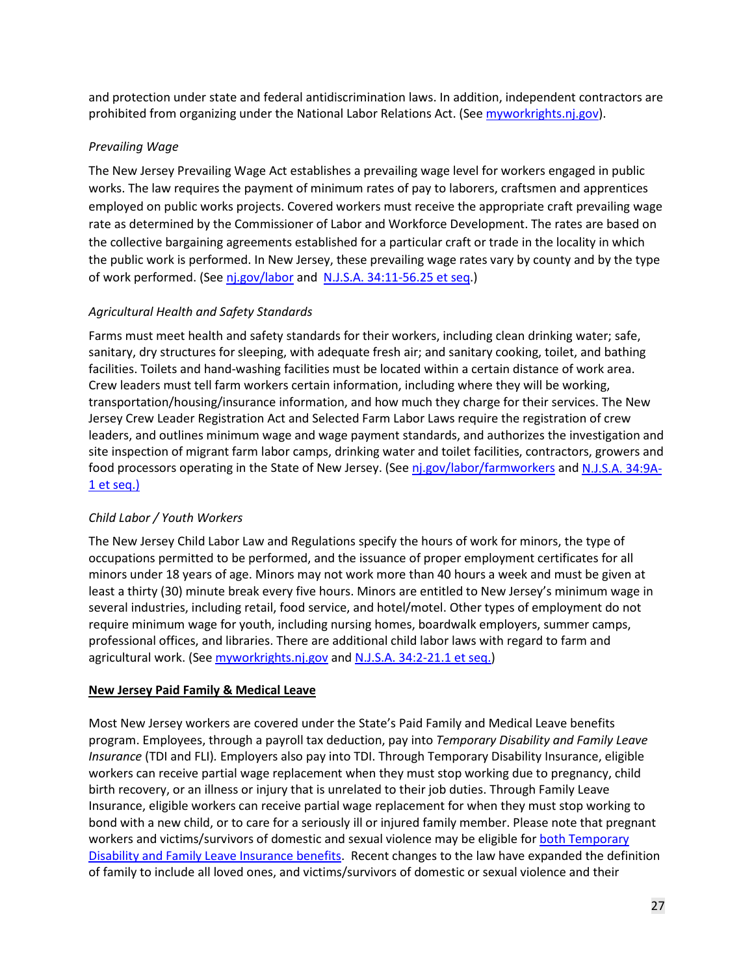and protection under state and federal antidiscrimination laws. In addition, independent contractors are prohibited from organizing under the National Labor Relations Act. (See [myworkrights.nj.gov\)](https://www.nj.gov/labor/worker-protections/myworkrights/independentcontractors.shtml#abctest).

# *Prevailing Wage*

The New Jersey Prevailing Wage Act establishes a prevailing wage level for workers engaged in public works. The law requires the payment of minimum rates of pay to laborers, craftsmen and apprentices employed on public works projects. Covered workers must receive the appropriate craft prevailing wage rate as determined by the Commissioner of Labor and Workforce Development. The rates are based on the collective bargaining agreements established for a particular craft or trade in the locality in which the public work is performed. In New Jersey, these prevailing wage rates vary by county and by the type of work performed. (See [nj.gov/labor](https://nj.gov/labor/wagehour/regperm/public_contracts_general.html?_ga=2.232601119.1470242507.1620654090-877993741.1618329326) and [N.J.S.A. 34:11-56.25 et seq.](https://www.nj.gov/labor/wageandhour/tools-resources/laws/prevailingwageact.shtml))

# *Agricultural Health and Safety Standards*

Farms must meet health and safety standards for their workers, including clean drinking water; safe, sanitary, dry structures for sleeping, with adequate fresh air; and sanitary cooking, toilet, and bathing facilities. Toilets and hand-washing facilities must be located within a certain distance of work area. Crew leaders must tell farm workers certain information, including where they will be working, transportation/housing/insurance information, and how much they charge for their services. The New Jersey Crew Leader Registration Act and Selected Farm Labor Laws require the registration of crew leaders, and outlines minimum wage and wage payment standards, and authorizes the investigation and site inspection of migrant farm labor camps, drinking water and toilet facilities, contractors, growers and food processors operating in the State of New Jersey. (Se[e nj.gov/labor/farmworkers](https://www.nj.gov/labor/worker-protections/myworkrights/farmworkers.shtml) an[d N.J.S.A. 34:9A-](https://www.nj.gov/labor/wageandhour/tools-resources/laws/seasonalfarmlaboract.shtml)[1 et seq.\)](https://www.nj.gov/labor/wageandhour/tools-resources/laws/seasonalfarmlaboract.shtml)

# *Child Labor / Youth Workers*

The New Jersey Child Labor Law and Regulations specify the hours of work for minors, the type of occupations permitted to be performed, and the issuance of proper employment certificates for all minors under 18 years of age. Minors may not work more than 40 hours a week and must be given at least a thirty (30) minute break every five hours. Minors are entitled to New Jersey's minimum wage in several industries, including retail, food service, and hotel/motel. Other types of employment do not require minimum wage for youth, including nursing homes, boardwalk employers, summer camps, professional offices, and libraries. There are additional child labor laws with regard to farm and agricultural work. (See [myworkrights.nj.gov](https://www.nj.gov/labor/worker-protections/myworkrights/wages.shtml) and [N.J.S.A. 34:2-21.1 et seq.\)](https://www.nj.gov/labor/wageandhour/tools-resources/laws/childlaborlaws.shtml)

# **New Jersey Paid Family & Medical Leave**

Most New Jersey workers are covered under the State's Paid Family and Medical Leave benefits program. Employees, through a payroll tax deduction, pay into *Temporary Disability and Family Leave Insurance* (TDI and FLI)*.* Employers also pay into TDI. Through Temporary Disability Insurance, eligible workers can receive partial wage replacement when they must stop working due to pregnancy, child birth recovery, or an illness or injury that is unrelated to their job duties. Through Family Leave Insurance, eligible workers can receive partial wage replacement for when they must stop working to bond with a new child, or to care for a seriously ill or injured family member. Please note that pregnant workers and victims/survivors of domestic and sexual violence may be eligible for both Temporary [Disability and Family Leave Insurance benefits.](https://www.myleavebenefits.nj.gov/labor/myleavebenefits/worker/maternity/) Recent changes to the law have expanded the definition of family to include all loved ones, and victims/survivors of domestic or sexual violence and their